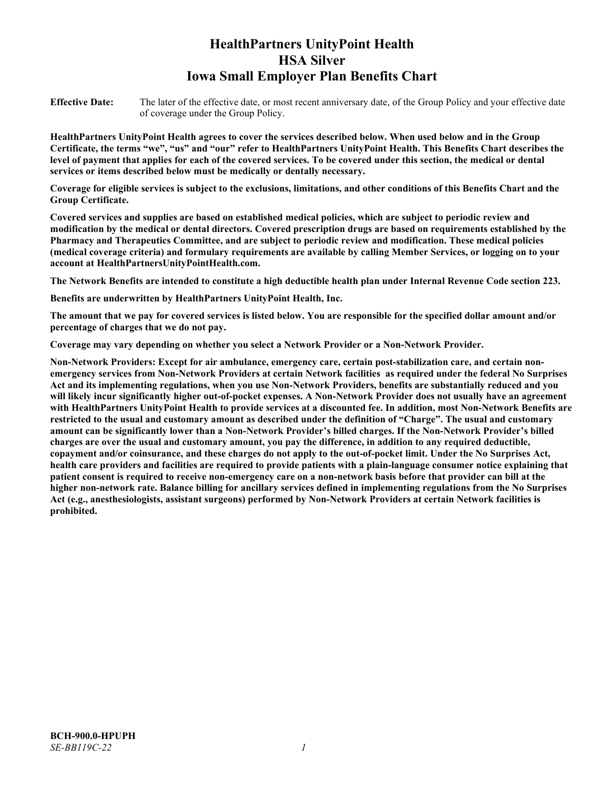# **HealthPartners UnityPoint Health HSA Silver Iowa Small Employer Plan Benefits Chart**

**Effective Date:** The later of the effective date, or most recent anniversary date, of the Group Policy and your effective date of coverage under the Group Policy.

**HealthPartners UnityPoint Health agrees to cover the services described below. When used below and in the Group Certificate, the terms "we", "us" and "our" refer to HealthPartners UnityPoint Health. This Benefits Chart describes the level of payment that applies for each of the covered services. To be covered under this section, the medical or dental services or items described below must be medically or dentally necessary.**

**Coverage for eligible services is subject to the exclusions, limitations, and other conditions of this Benefits Chart and the Group Certificate.** 

**Covered services and supplies are based on established medical policies, which are subject to periodic review and modification by the medical or dental directors. Covered prescription drugs are based on requirements established by the Pharmacy and Therapeutics Committee, and are subject to periodic review and modification. These medical policies (medical coverage criteria) and formulary requirements are available by calling Member Services, or logging on to your account at [HealthPartnersUnityPointHealth.com.](https://www.healthpartnersunitypointhealth.com/)**

**The Network Benefits are intended to constitute a high deductible health plan under Internal Revenue Code section 223.**

**Benefits are underwritten by HealthPartners UnityPoint Health, Inc.**

**The amount that we pay for covered services is listed below. You are responsible for the specified dollar amount and/or percentage of charges that we do not pay.**

**Coverage may vary depending on whether you select a Network Provider or a Non-Network Provider.**

**Non-Network Providers: Except for air ambulance, emergency care, certain post-stabilization care, and certain nonemergency services from Non-Network Providers at certain Network facilities as required under the federal No Surprises Act and its implementing regulations, when you use Non-Network Providers, benefits are substantially reduced and you will likely incur significantly higher out-of-pocket expenses. A Non-Network Provider does not usually have an agreement with HealthPartners UnityPoint Health to provide services at a discounted fee. In addition, most Non-Network Benefits are restricted to the usual and customary amount as described under the definition of "Charge". The usual and customary amount can be significantly lower than a Non-Network Provider's billed charges. If the Non-Network Provider's billed charges are over the usual and customary amount, you pay the difference, in addition to any required deductible, copayment and/or coinsurance, and these charges do not apply to the out-of-pocket limit. Under the No Surprises Act, health care providers and facilities are required to provide patients with a plain-language consumer notice explaining that patient consent is required to receive non-emergency care on a non-network basis before that provider can bill at the higher non-network rate. Balance billing for ancillary services defined in implementing regulations from the No Surprises Act (e.g., anesthesiologists, assistant surgeons) performed by Non-Network Providers at certain Network facilities is prohibited.**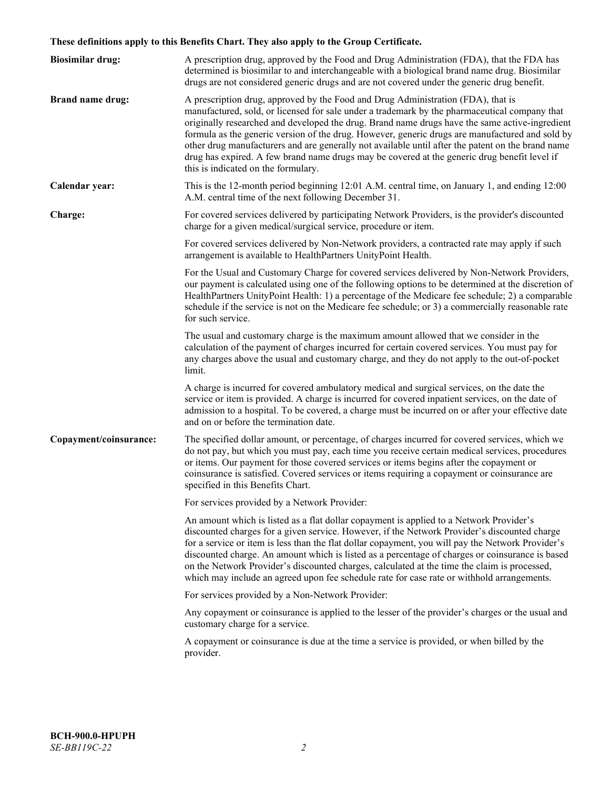# **These definitions apply to this Benefits Chart. They also apply to the Group Certificate.**

| <b>Biosimilar drug:</b> | A prescription drug, approved by the Food and Drug Administration (FDA), that the FDA has<br>determined is biosimilar to and interchangeable with a biological brand name drug. Biosimilar<br>drugs are not considered generic drugs and are not covered under the generic drug benefit.                                                                                                                                                                                                                                                                                                                                           |
|-------------------------|------------------------------------------------------------------------------------------------------------------------------------------------------------------------------------------------------------------------------------------------------------------------------------------------------------------------------------------------------------------------------------------------------------------------------------------------------------------------------------------------------------------------------------------------------------------------------------------------------------------------------------|
| <b>Brand name drug:</b> | A prescription drug, approved by the Food and Drug Administration (FDA), that is<br>manufactured, sold, or licensed for sale under a trademark by the pharmaceutical company that<br>originally researched and developed the drug. Brand name drugs have the same active-ingredient<br>formula as the generic version of the drug. However, generic drugs are manufactured and sold by<br>other drug manufacturers and are generally not available until after the patent on the brand name<br>drug has expired. A few brand name drugs may be covered at the generic drug benefit level if<br>this is indicated on the formulary. |
| Calendar year:          | This is the 12-month period beginning 12:01 A.M. central time, on January 1, and ending 12:00<br>A.M. central time of the next following December 31.                                                                                                                                                                                                                                                                                                                                                                                                                                                                              |
| Charge:                 | For covered services delivered by participating Network Providers, is the provider's discounted<br>charge for a given medical/surgical service, procedure or item.                                                                                                                                                                                                                                                                                                                                                                                                                                                                 |
|                         | For covered services delivered by Non-Network providers, a contracted rate may apply if such<br>arrangement is available to HealthPartners UnityPoint Health.                                                                                                                                                                                                                                                                                                                                                                                                                                                                      |
|                         | For the Usual and Customary Charge for covered services delivered by Non-Network Providers,<br>our payment is calculated using one of the following options to be determined at the discretion of<br>HealthPartners UnityPoint Health: 1) a percentage of the Medicare fee schedule; 2) a comparable<br>schedule if the service is not on the Medicare fee schedule; or 3) a commercially reasonable rate<br>for such service.                                                                                                                                                                                                     |
|                         | The usual and customary charge is the maximum amount allowed that we consider in the<br>calculation of the payment of charges incurred for certain covered services. You must pay for<br>any charges above the usual and customary charge, and they do not apply to the out-of-pocket<br>limit.                                                                                                                                                                                                                                                                                                                                    |
|                         | A charge is incurred for covered ambulatory medical and surgical services, on the date the<br>service or item is provided. A charge is incurred for covered inpatient services, on the date of<br>admission to a hospital. To be covered, a charge must be incurred on or after your effective date<br>and on or before the termination date.                                                                                                                                                                                                                                                                                      |
| Copayment/coinsurance:  | The specified dollar amount, or percentage, of charges incurred for covered services, which we<br>do not pay, but which you must pay, each time you receive certain medical services, procedures<br>or items. Our payment for those covered services or items begins after the copayment or<br>coinsurance is satisfied. Covered services or items requiring a copayment or coinsurance are<br>specified in this Benefits Chart.                                                                                                                                                                                                   |
|                         | For services provided by a Network Provider:                                                                                                                                                                                                                                                                                                                                                                                                                                                                                                                                                                                       |
|                         | An amount which is listed as a flat dollar copayment is applied to a Network Provider's<br>discounted charges for a given service. However, if the Network Provider's discounted charge<br>for a service or item is less than the flat dollar copayment, you will pay the Network Provider's<br>discounted charge. An amount which is listed as a percentage of charges or coinsurance is based<br>on the Network Provider's discounted charges, calculated at the time the claim is processed,<br>which may include an agreed upon fee schedule rate for case rate or withhold arrangements.                                      |
|                         | For services provided by a Non-Network Provider:                                                                                                                                                                                                                                                                                                                                                                                                                                                                                                                                                                                   |
|                         | Any copayment or coinsurance is applied to the lesser of the provider's charges or the usual and<br>customary charge for a service.                                                                                                                                                                                                                                                                                                                                                                                                                                                                                                |
|                         | A copayment or coinsurance is due at the time a service is provided, or when billed by the<br>provider.                                                                                                                                                                                                                                                                                                                                                                                                                                                                                                                            |
|                         |                                                                                                                                                                                                                                                                                                                                                                                                                                                                                                                                                                                                                                    |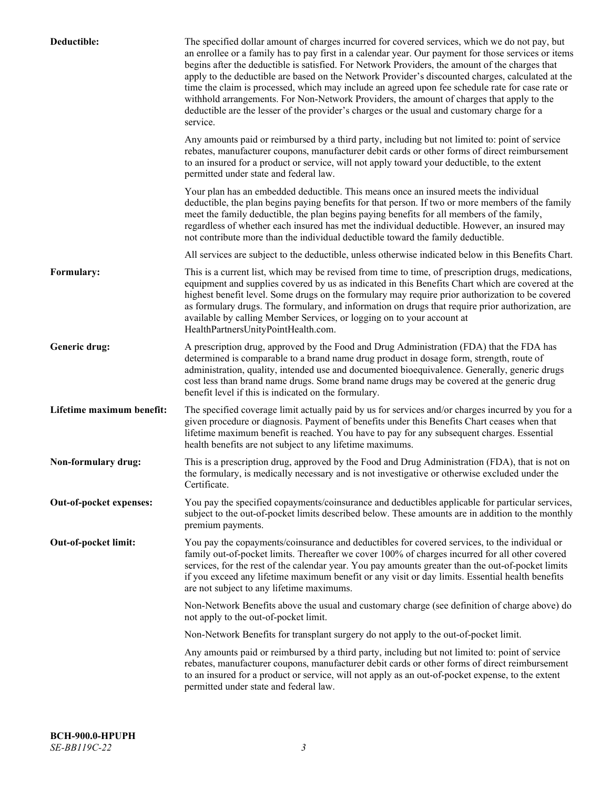| Deductible:               | The specified dollar amount of charges incurred for covered services, which we do not pay, but<br>an enrollee or a family has to pay first in a calendar year. Our payment for those services or items<br>begins after the deductible is satisfied. For Network Providers, the amount of the charges that<br>apply to the deductible are based on the Network Provider's discounted charges, calculated at the<br>time the claim is processed, which may include an agreed upon fee schedule rate for case rate or<br>withhold arrangements. For Non-Network Providers, the amount of charges that apply to the<br>deductible are the lesser of the provider's charges or the usual and customary charge for a<br>service. |
|---------------------------|----------------------------------------------------------------------------------------------------------------------------------------------------------------------------------------------------------------------------------------------------------------------------------------------------------------------------------------------------------------------------------------------------------------------------------------------------------------------------------------------------------------------------------------------------------------------------------------------------------------------------------------------------------------------------------------------------------------------------|
|                           | Any amounts paid or reimbursed by a third party, including but not limited to: point of service<br>rebates, manufacturer coupons, manufacturer debit cards or other forms of direct reimbursement<br>to an insured for a product or service, will not apply toward your deductible, to the extent<br>permitted under state and federal law.                                                                                                                                                                                                                                                                                                                                                                                |
|                           | Your plan has an embedded deductible. This means once an insured meets the individual<br>deductible, the plan begins paying benefits for that person. If two or more members of the family<br>meet the family deductible, the plan begins paying benefits for all members of the family,<br>regardless of whether each insured has met the individual deductible. However, an insured may<br>not contribute more than the individual deductible toward the family deductible.                                                                                                                                                                                                                                              |
|                           | All services are subject to the deductible, unless otherwise indicated below in this Benefits Chart.                                                                                                                                                                                                                                                                                                                                                                                                                                                                                                                                                                                                                       |
| Formulary:                | This is a current list, which may be revised from time to time, of prescription drugs, medications,<br>equipment and supplies covered by us as indicated in this Benefits Chart which are covered at the<br>highest benefit level. Some drugs on the formulary may require prior authorization to be covered<br>as formulary drugs. The formulary, and information on drugs that require prior authorization, are<br>available by calling Member Services, or logging on to your account at<br>HealthPartnersUnityPointHealth.com.                                                                                                                                                                                         |
| Generic drug:             | A prescription drug, approved by the Food and Drug Administration (FDA) that the FDA has<br>determined is comparable to a brand name drug product in dosage form, strength, route of<br>administration, quality, intended use and documented bioequivalence. Generally, generic drugs<br>cost less than brand name drugs. Some brand name drugs may be covered at the generic drug<br>benefit level if this is indicated on the formulary.                                                                                                                                                                                                                                                                                 |
| Lifetime maximum benefit: | The specified coverage limit actually paid by us for services and/or charges incurred by you for a<br>given procedure or diagnosis. Payment of benefits under this Benefits Chart ceases when that<br>lifetime maximum benefit is reached. You have to pay for any subsequent charges. Essential<br>health benefits are not subject to any lifetime maximums.                                                                                                                                                                                                                                                                                                                                                              |
| Non-formulary drug:       | This is a prescription drug, approved by the Food and Drug Administration (FDA), that is not on<br>the formulary, is medically necessary and is not investigative or otherwise excluded under the<br>Certificate.                                                                                                                                                                                                                                                                                                                                                                                                                                                                                                          |
| Out-of-pocket expenses:   | You pay the specified copayments/coinsurance and deductibles applicable for particular services,<br>subject to the out-of-pocket limits described below. These amounts are in addition to the monthly<br>premium payments.                                                                                                                                                                                                                                                                                                                                                                                                                                                                                                 |
| Out-of-pocket limit:      | You pay the copayments/coinsurance and deductibles for covered services, to the individual or<br>family out-of-pocket limits. Thereafter we cover 100% of charges incurred for all other covered<br>services, for the rest of the calendar year. You pay amounts greater than the out-of-pocket limits<br>if you exceed any lifetime maximum benefit or any visit or day limits. Essential health benefits<br>are not subject to any lifetime maximums.                                                                                                                                                                                                                                                                    |
|                           | Non-Network Benefits above the usual and customary charge (see definition of charge above) do<br>not apply to the out-of-pocket limit.                                                                                                                                                                                                                                                                                                                                                                                                                                                                                                                                                                                     |
|                           | Non-Network Benefits for transplant surgery do not apply to the out-of-pocket limit.                                                                                                                                                                                                                                                                                                                                                                                                                                                                                                                                                                                                                                       |
|                           | Any amounts paid or reimbursed by a third party, including but not limited to: point of service<br>rebates, manufacturer coupons, manufacturer debit cards or other forms of direct reimbursement<br>to an insured for a product or service, will not apply as an out-of-pocket expense, to the extent<br>permitted under state and federal law.                                                                                                                                                                                                                                                                                                                                                                           |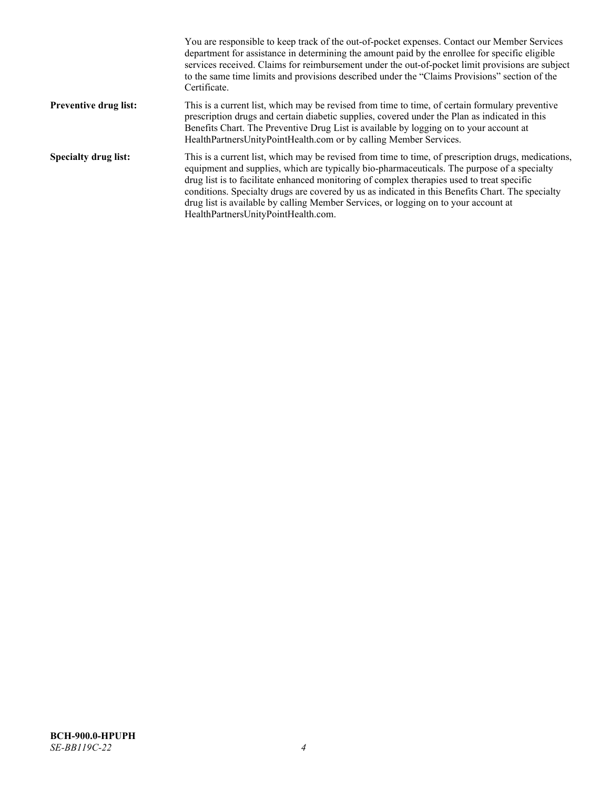|                              | You are responsible to keep track of the out-of-pocket expenses. Contact our Member Services<br>department for assistance in determining the amount paid by the enrollee for specific eligible<br>services received. Claims for reimbursement under the out-of-pocket limit provisions are subject<br>to the same time limits and provisions described under the "Claims Provisions" section of the<br>Certificate.                                                                                                                |
|------------------------------|------------------------------------------------------------------------------------------------------------------------------------------------------------------------------------------------------------------------------------------------------------------------------------------------------------------------------------------------------------------------------------------------------------------------------------------------------------------------------------------------------------------------------------|
| <b>Preventive drug list:</b> | This is a current list, which may be revised from time to time, of certain formulary preventive<br>prescription drugs and certain diabetic supplies, covered under the Plan as indicated in this<br>Benefits Chart. The Preventive Drug List is available by logging on to your account at<br>HealthPartnersUnityPointHealth.com or by calling Member Services.                                                                                                                                                                    |
| <b>Specialty drug list:</b>  | This is a current list, which may be revised from time to time, of prescription drugs, medications,<br>equipment and supplies, which are typically bio-pharmaceuticals. The purpose of a specialty<br>drug list is to facilitate enhanced monitoring of complex therapies used to treat specific<br>conditions. Specialty drugs are covered by us as indicated in this Benefits Chart. The specialty<br>drug list is available by calling Member Services, or logging on to your account at<br>HealthPartnersUnityPointHealth.com. |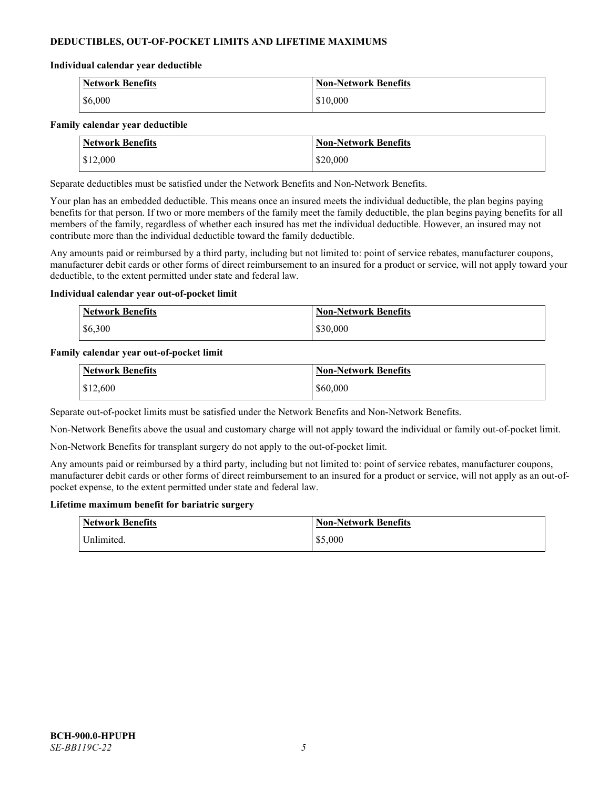# **DEDUCTIBLES, OUT-OF-POCKET LIMITS AND LIFETIME MAXIMUMS**

#### **Individual calendar year deductible**

| <b>Network Benefits</b> | <b>Non-Network Benefits</b> |
|-------------------------|-----------------------------|
| \$6,000                 | \$10,000                    |

#### **Family calendar year deductible**

| <b>Network Benefits</b> | <b>Non-Network Benefits</b> |
|-------------------------|-----------------------------|
| \$12,000                | \$20,000                    |

Separate deductibles must be satisfied under the Network Benefits and Non-Network Benefits.

Your plan has an embedded deductible. This means once an insured meets the individual deductible, the plan begins paying benefits for that person. If two or more members of the family meet the family deductible, the plan begins paying benefits for all members of the family, regardless of whether each insured has met the individual deductible. However, an insured may not contribute more than the individual deductible toward the family deductible.

Any amounts paid or reimbursed by a third party, including but not limited to: point of service rebates, manufacturer coupons, manufacturer debit cards or other forms of direct reimbursement to an insured for a product or service, will not apply toward your deductible, to the extent permitted under state and federal law.

#### **Individual calendar year out-of-pocket limit**

| <b>Network Benefits</b> | <b>Non-Network Benefits</b> |
|-------------------------|-----------------------------|
| \$6,300                 | \$30,000                    |

#### **Family calendar year out-of-pocket limit**

| <b>Network Benefits</b> | <b>Non-Network Benefits</b> |
|-------------------------|-----------------------------|
| \$12,600                | \$60,000                    |

Separate out-of-pocket limits must be satisfied under the Network Benefits and Non-Network Benefits.

Non-Network Benefits above the usual and customary charge will not apply toward the individual or family out-of-pocket limit.

Non-Network Benefits for transplant surgery do not apply to the out-of-pocket limit.

Any amounts paid or reimbursed by a third party, including but not limited to: point of service rebates, manufacturer coupons, manufacturer debit cards or other forms of direct reimbursement to an insured for a product or service, will not apply as an out-ofpocket expense, to the extent permitted under state and federal law.

#### **Lifetime maximum benefit for bariatric surgery**

| <b>Network Benefits</b> | <b>Non-Network Benefits</b> |
|-------------------------|-----------------------------|
| <sup>I</sup> Inlimited. | \$5,000                     |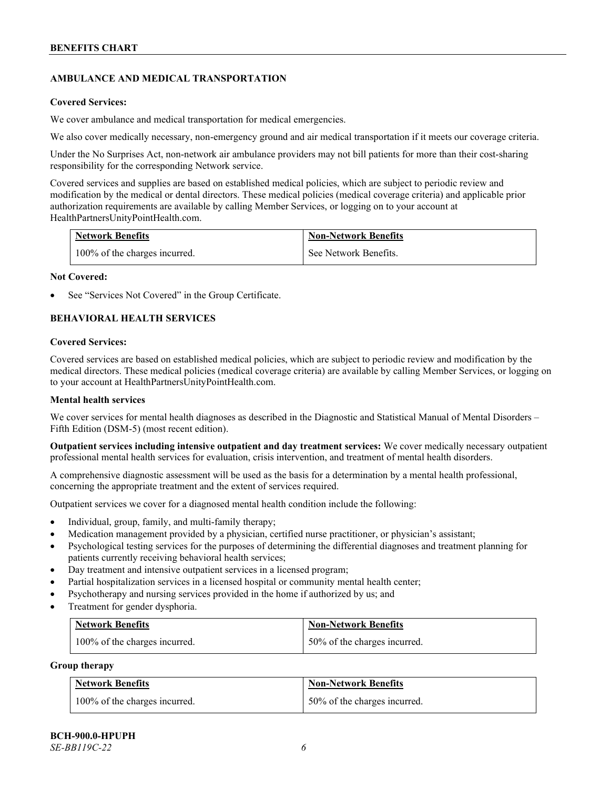# **AMBULANCE AND MEDICAL TRANSPORTATION**

#### **Covered Services:**

We cover ambulance and medical transportation for medical emergencies.

We also cover medically necessary, non-emergency ground and air medical transportation if it meets our coverage criteria.

Under the No Surprises Act, non-network air ambulance providers may not bill patients for more than their cost-sharing responsibility for the corresponding Network service.

Covered services and supplies are based on established medical policies, which are subject to periodic review and modification by the medical or dental directors. These medical policies (medical coverage criteria) and applicable prior authorization requirements are available by calling Member Services, or logging on to your account at [HealthPartnersUnityPointHealth.com.](https://www.healthpartnersunitypointhealth.com/)

| <b>Network Benefits</b>       | <b>Non-Network Benefits</b> |
|-------------------------------|-----------------------------|
| 100% of the charges incurred. | See Network Benefits.       |

#### **Not Covered:**

See "Services Not Covered" in the Group Certificate.

# **BEHAVIORAL HEALTH SERVICES**

#### **Covered Services:**

Covered services are based on established medical policies, which are subject to periodic review and modification by the medical directors. These medical policies (medical coverage criteria) are available by calling Member Services, or logging on to your account at [HealthPartnersUnityPointHealth.com.](https://www.healthpartnersunitypointhealth.com/)

### **Mental health services**

We cover services for mental health diagnoses as described in the Diagnostic and Statistical Manual of Mental Disorders – Fifth Edition (DSM-5) (most recent edition).

**Outpatient services including intensive outpatient and day treatment services:** We cover medically necessary outpatient professional mental health services for evaluation, crisis intervention, and treatment of mental health disorders.

A comprehensive diagnostic assessment will be used as the basis for a determination by a mental health professional, concerning the appropriate treatment and the extent of services required.

Outpatient services we cover for a diagnosed mental health condition include the following:

- Individual, group, family, and multi-family therapy;
- Medication management provided by a physician, certified nurse practitioner, or physician's assistant;
- Psychological testing services for the purposes of determining the differential diagnoses and treatment planning for patients currently receiving behavioral health services;
- Day treatment and intensive outpatient services in a licensed program;
- Partial hospitalization services in a licensed hospital or community mental health center;
- Psychotherapy and nursing services provided in the home if authorized by us; and
- Treatment for gender dysphoria.

| <b>Network Benefits</b>       | <b>Non-Network Benefits</b>  |
|-------------------------------|------------------------------|
| 100% of the charges incurred. | 50% of the charges incurred. |

#### **Group therapy**

| <b>Network Benefits</b>       | <b>Non-Network Benefits</b>  |
|-------------------------------|------------------------------|
| 100% of the charges incurred. | 50% of the charges incurred. |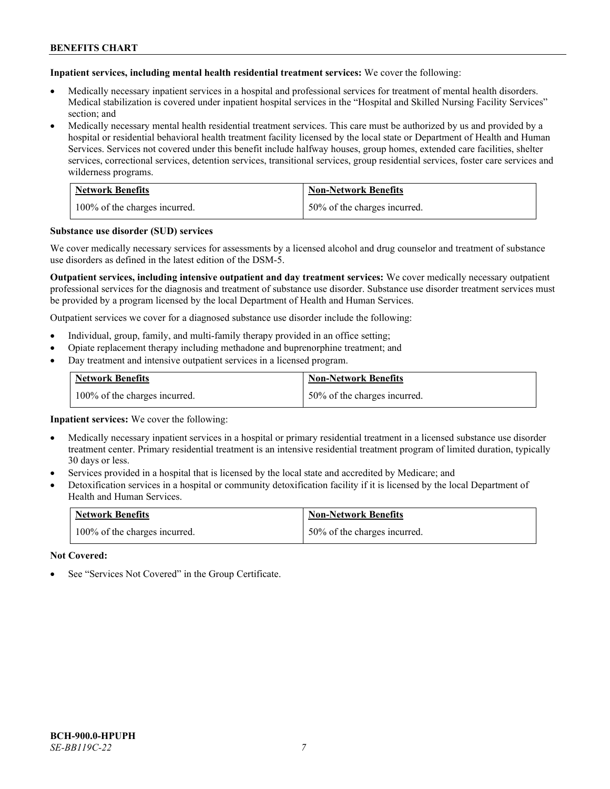**Inpatient services, including mental health residential treatment services:** We cover the following:

- Medically necessary inpatient services in a hospital and professional services for treatment of mental health disorders. Medical stabilization is covered under inpatient hospital services in the "Hospital and Skilled Nursing Facility Services" section; and
- Medically necessary mental health residential treatment services. This care must be authorized by us and provided by a hospital or residential behavioral health treatment facility licensed by the local state or Department of Health and Human Services. Services not covered under this benefit include halfway houses, group homes, extended care facilities, shelter services, correctional services, detention services, transitional services, group residential services, foster care services and wilderness programs.

| <b>Network Benefits</b>       | <b>Non-Network Benefits</b>  |
|-------------------------------|------------------------------|
| 100% of the charges incurred. | 50% of the charges incurred. |

#### **Substance use disorder (SUD) services**

We cover medically necessary services for assessments by a licensed alcohol and drug counselor and treatment of substance use disorders as defined in the latest edition of the DSM-5.

**Outpatient services, including intensive outpatient and day treatment services:** We cover medically necessary outpatient professional services for the diagnosis and treatment of substance use disorder. Substance use disorder treatment services must be provided by a program licensed by the local Department of Health and Human Services.

Outpatient services we cover for a diagnosed substance use disorder include the following:

- Individual, group, family, and multi-family therapy provided in an office setting;
- Opiate replacement therapy including methadone and buprenorphine treatment; and
- Day treatment and intensive outpatient services in a licensed program.

| <b>Network Benefits</b>       | <b>Non-Network Benefits</b>  |
|-------------------------------|------------------------------|
| 100% of the charges incurred. | 50% of the charges incurred. |

**Inpatient services:** We cover the following:

- Medically necessary inpatient services in a hospital or primary residential treatment in a licensed substance use disorder treatment center. Primary residential treatment is an intensive residential treatment program of limited duration, typically 30 days or less.
- Services provided in a hospital that is licensed by the local state and accredited by Medicare; and
- Detoxification services in a hospital or community detoxification facility if it is licensed by the local Department of Health and Human Services.

| <b>Network Benefits</b>       | <b>Non-Network Benefits</b>  |
|-------------------------------|------------------------------|
| 100% of the charges incurred. | 50% of the charges incurred. |

**Not Covered:**

See "Services Not Covered" in the Group Certificate.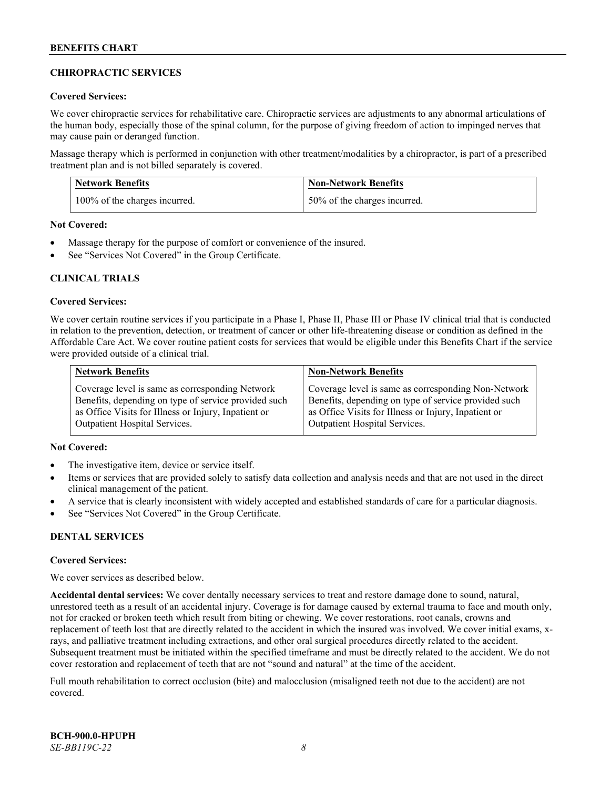# **CHIROPRACTIC SERVICES**

### **Covered Services:**

We cover chiropractic services for rehabilitative care. Chiropractic services are adjustments to any abnormal articulations of the human body, especially those of the spinal column, for the purpose of giving freedom of action to impinged nerves that may cause pain or deranged function.

Massage therapy which is performed in conjunction with other treatment/modalities by a chiropractor, is part of a prescribed treatment plan and is not billed separately is covered.

| <b>Network Benefits</b>       | <b>Non-Network Benefits</b>  |
|-------------------------------|------------------------------|
| 100% of the charges incurred. | 50% of the charges incurred. |

**Not Covered:**

- Massage therapy for the purpose of comfort or convenience of the insured.
- See "Services Not Covered" in the Group Certificate.

# **CLINICAL TRIALS**

#### **Covered Services:**

We cover certain routine services if you participate in a Phase I, Phase II, Phase III or Phase IV clinical trial that is conducted in relation to the prevention, detection, or treatment of cancer or other life-threatening disease or condition as defined in the Affordable Care Act. We cover routine patient costs for services that would be eligible under this Benefits Chart if the service were provided outside of a clinical trial.

| <b>Network Benefits</b>                              | <b>Non-Network Benefits</b>                          |
|------------------------------------------------------|------------------------------------------------------|
| Coverage level is same as corresponding Network      | Coverage level is same as corresponding Non-Network  |
| Benefits, depending on type of service provided such | Benefits, depending on type of service provided such |
| as Office Visits for Illness or Injury, Inpatient or | as Office Visits for Illness or Injury, Inpatient or |
| <b>Outpatient Hospital Services.</b>                 | <b>Outpatient Hospital Services.</b>                 |

# **Not Covered:**

- The investigative item, device or service itself.
- Items or services that are provided solely to satisfy data collection and analysis needs and that are not used in the direct clinical management of the patient.
- A service that is clearly inconsistent with widely accepted and established standards of care for a particular diagnosis.
- See "Services Not Covered" in the Group Certificate.

# **DENTAL SERVICES**

#### **Covered Services:**

We cover services as described below.

**Accidental dental services:** We cover dentally necessary services to treat and restore damage done to sound, natural, unrestored teeth as a result of an accidental injury. Coverage is for damage caused by external trauma to face and mouth only, not for cracked or broken teeth which result from biting or chewing. We cover restorations, root canals, crowns and replacement of teeth lost that are directly related to the accident in which the insured was involved. We cover initial exams, xrays, and palliative treatment including extractions, and other oral surgical procedures directly related to the accident. Subsequent treatment must be initiated within the specified timeframe and must be directly related to the accident. We do not cover restoration and replacement of teeth that are not "sound and natural" at the time of the accident.

Full mouth rehabilitation to correct occlusion (bite) and malocclusion (misaligned teeth not due to the accident) are not covered.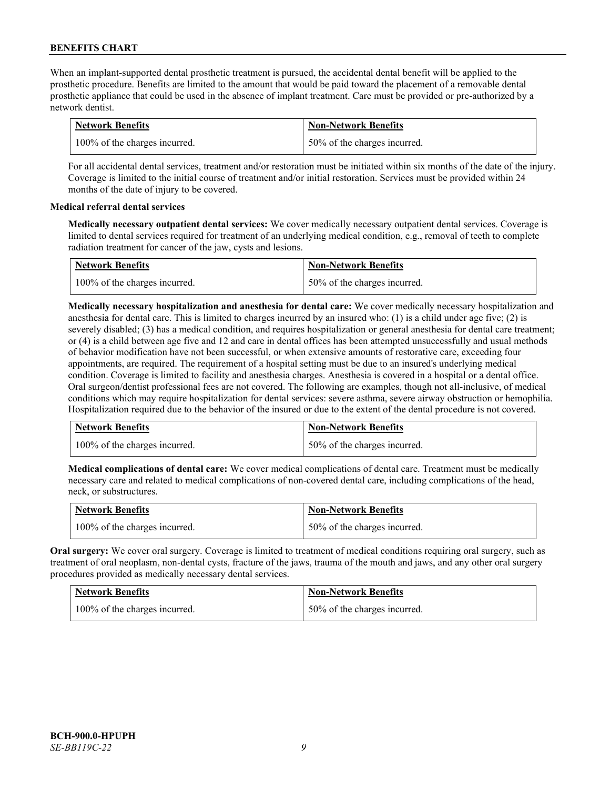When an implant-supported dental prosthetic treatment is pursued, the accidental dental benefit will be applied to the prosthetic procedure. Benefits are limited to the amount that would be paid toward the placement of a removable dental prosthetic appliance that could be used in the absence of implant treatment. Care must be provided or pre-authorized by a network dentist.

| <b>Network Benefits</b>       | <b>Non-Network Benefits</b>  |
|-------------------------------|------------------------------|
| 100% of the charges incurred. | 50% of the charges incurred. |

For all accidental dental services, treatment and/or restoration must be initiated within six months of the date of the injury. Coverage is limited to the initial course of treatment and/or initial restoration. Services must be provided within 24 months of the date of injury to be covered.

# **Medical referral dental services**

**Medically necessary outpatient dental services:** We cover medically necessary outpatient dental services. Coverage is limited to dental services required for treatment of an underlying medical condition, e.g., removal of teeth to complete radiation treatment for cancer of the jaw, cysts and lesions.

| <b>Network Benefits</b>       | <b>Non-Network Benefits</b>  |
|-------------------------------|------------------------------|
| 100% of the charges incurred. | 50% of the charges incurred. |

**Medically necessary hospitalization and anesthesia for dental care:** We cover medically necessary hospitalization and anesthesia for dental care. This is limited to charges incurred by an insured who: (1) is a child under age five; (2) is severely disabled; (3) has a medical condition, and requires hospitalization or general anesthesia for dental care treatment; or (4) is a child between age five and 12 and care in dental offices has been attempted unsuccessfully and usual methods of behavior modification have not been successful, or when extensive amounts of restorative care, exceeding four appointments, are required. The requirement of a hospital setting must be due to an insured's underlying medical condition. Coverage is limited to facility and anesthesia charges. Anesthesia is covered in a hospital or a dental office. Oral surgeon/dentist professional fees are not covered. The following are examples, though not all-inclusive, of medical conditions which may require hospitalization for dental services: severe asthma, severe airway obstruction or hemophilia. Hospitalization required due to the behavior of the insured or due to the extent of the dental procedure is not covered.

| <b>Network Benefits</b>       | <b>Non-Network Benefits</b>  |
|-------------------------------|------------------------------|
| 100% of the charges incurred. | 50% of the charges incurred. |

**Medical complications of dental care:** We cover medical complications of dental care. Treatment must be medically necessary care and related to medical complications of non-covered dental care, including complications of the head, neck, or substructures.

| <b>Network Benefits</b>       | <b>Non-Network Benefits</b>  |
|-------------------------------|------------------------------|
| 100% of the charges incurred. | 50% of the charges incurred. |

**Oral surgery:** We cover oral surgery. Coverage is limited to treatment of medical conditions requiring oral surgery, such as treatment of oral neoplasm, non-dental cysts, fracture of the jaws, trauma of the mouth and jaws, and any other oral surgery procedures provided as medically necessary dental services.

| <b>Network Benefits</b>       | <b>Non-Network Benefits</b>  |
|-------------------------------|------------------------------|
| 100% of the charges incurred. | 50% of the charges incurred. |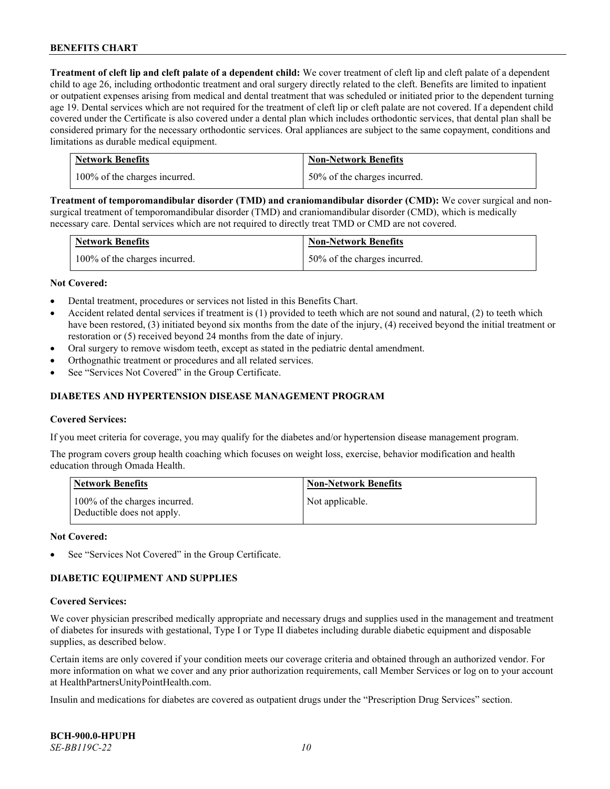**Treatment of cleft lip and cleft palate of a dependent child:** We cover treatment of cleft lip and cleft palate of a dependent child to age 26, including orthodontic treatment and oral surgery directly related to the cleft. Benefits are limited to inpatient or outpatient expenses arising from medical and dental treatment that was scheduled or initiated prior to the dependent turning age 19. Dental services which are not required for the treatment of cleft lip or cleft palate are not covered. If a dependent child covered under the Certificate is also covered under a dental plan which includes orthodontic services, that dental plan shall be considered primary for the necessary orthodontic services. Oral appliances are subject to the same copayment, conditions and limitations as durable medical equipment.

| <b>Network Benefits</b>       | <b>Non-Network Benefits</b>  |
|-------------------------------|------------------------------|
| 100% of the charges incurred. | 50% of the charges incurred. |

**Treatment of temporomandibular disorder (TMD) and craniomandibular disorder (CMD):** We cover surgical and nonsurgical treatment of temporomandibular disorder (TMD) and craniomandibular disorder (CMD), which is medically necessary care. Dental services which are not required to directly treat TMD or CMD are not covered.

| <b>Network Benefits</b>       | <b>Non-Network Benefits</b>  |
|-------------------------------|------------------------------|
| 100% of the charges incurred. | 50% of the charges incurred. |

#### **Not Covered:**

- Dental treatment, procedures or services not listed in this Benefits Chart.
- Accident related dental services if treatment is (1) provided to teeth which are not sound and natural, (2) to teeth which have been restored, (3) initiated beyond six months from the date of the injury, (4) received beyond the initial treatment or restoration or (5) received beyond 24 months from the date of injury.
- Oral surgery to remove wisdom teeth, except as stated in the pediatric dental amendment.
- Orthognathic treatment or procedures and all related services.
- See "Services Not Covered" in the Group Certificate.

### **DIABETES AND HYPERTENSION DISEASE MANAGEMENT PROGRAM**

#### **Covered Services:**

If you meet criteria for coverage, you may qualify for the diabetes and/or hypertension disease management program.

The program covers group health coaching which focuses on weight loss, exercise, behavior modification and health education through Omada Health.

| <b>Network Benefits</b>                                     | <b>Non-Network Benefits</b> |
|-------------------------------------------------------------|-----------------------------|
| 100% of the charges incurred.<br>Deductible does not apply. | Not applicable.             |

#### **Not Covered:**

See "Services Not Covered" in the Group Certificate.

# **DIABETIC EQUIPMENT AND SUPPLIES**

#### **Covered Services:**

We cover physician prescribed medically appropriate and necessary drugs and supplies used in the management and treatment of diabetes for insureds with gestational, Type I or Type II diabetes including durable diabetic equipment and disposable supplies, as described below.

Certain items are only covered if your condition meets our coverage criteria and obtained through an authorized vendor. For more information on what we cover and any prior authorization requirements, call Member Services or log on to your account at [HealthPartnersUnityPointHealth.com.](https://www.healthpartnersunitypointhealth.com/)

Insulin and medications for diabetes are covered as outpatient drugs under the "Prescription Drug Services" section.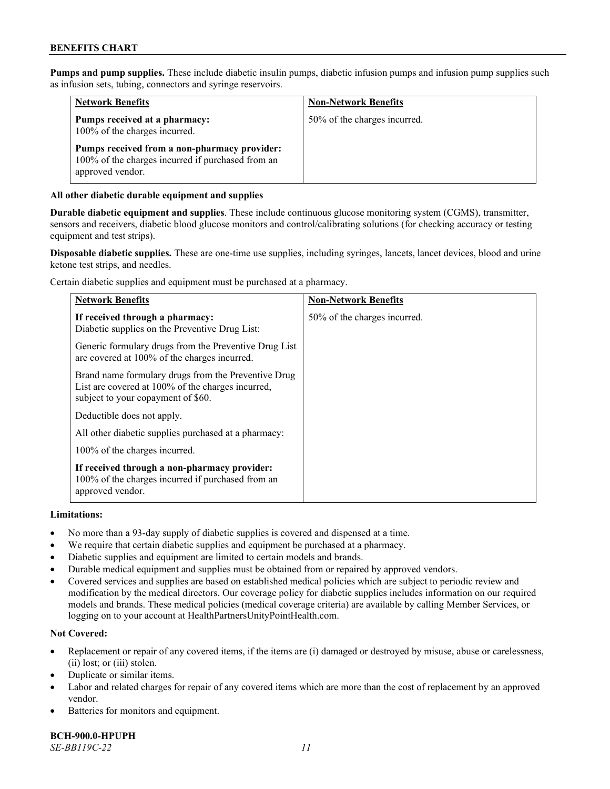**Pumps and pump supplies.** These include diabetic insulin pumps, diabetic infusion pumps and infusion pump supplies such as infusion sets, tubing, connectors and syringe reservoirs.

| <b>Network Benefits</b>                                                                                               | <b>Non-Network Benefits</b>  |
|-----------------------------------------------------------------------------------------------------------------------|------------------------------|
| Pumps received at a pharmacy:<br>100% of the charges incurred.                                                        | 50% of the charges incurred. |
| Pumps received from a non-pharmacy provider:<br>100% of the charges incurred if purchased from an<br>approved vendor. |                              |

# **All other diabetic durable equipment and supplies**

**Durable diabetic equipment and supplies**. These include continuous glucose monitoring system (CGMS), transmitter, sensors and receivers, diabetic blood glucose monitors and control/calibrating solutions (for checking accuracy or testing equipment and test strips).

**Disposable diabetic supplies.** These are one-time use supplies, including syringes, lancets, lancet devices, blood and urine ketone test strips, and needles.

Certain diabetic supplies and equipment must be purchased at a pharmacy.

| <b>Network Benefits</b>                                                                                                                        | <b>Non-Network Benefits</b>  |
|------------------------------------------------------------------------------------------------------------------------------------------------|------------------------------|
| If received through a pharmacy:<br>Diabetic supplies on the Preventive Drug List:                                                              | 50% of the charges incurred. |
| Generic formulary drugs from the Preventive Drug List<br>are covered at 100% of the charges incurred.                                          |                              |
| Brand name formulary drugs from the Preventive Drug<br>List are covered at 100% of the charges incurred,<br>subject to your copayment of \$60. |                              |
| Deductible does not apply.                                                                                                                     |                              |
| All other diabetic supplies purchased at a pharmacy:                                                                                           |                              |
| 100% of the charges incurred.                                                                                                                  |                              |
| If received through a non-pharmacy provider:<br>100% of the charges incurred if purchased from an<br>approved vendor.                          |                              |

#### **Limitations:**

- No more than a 93-day supply of diabetic supplies is covered and dispensed at a time.
- We require that certain diabetic supplies and equipment be purchased at a pharmacy.
- Diabetic supplies and equipment are limited to certain models and brands.
- Durable medical equipment and supplies must be obtained from or repaired by approved vendors.
- Covered services and supplies are based on established medical policies which are subject to periodic review and modification by the medical directors. Our coverage policy for diabetic supplies includes information on our required models and brands. These medical policies (medical coverage criteria) are available by calling Member Services, or logging on to your account a[t HealthPartnersUnityPointHealth.com.](https://www.healthpartnersunitypointhealth.com/)

# **Not Covered:**

- Replacement or repair of any covered items, if the items are (i) damaged or destroyed by misuse, abuse or carelessness, (ii) lost; or (iii) stolen.
- Duplicate or similar items.
- Labor and related charges for repair of any covered items which are more than the cost of replacement by an approved vendor.
- Batteries for monitors and equipment.

**BCH-900.0-HPUPH** *SE-BB119C-22 11*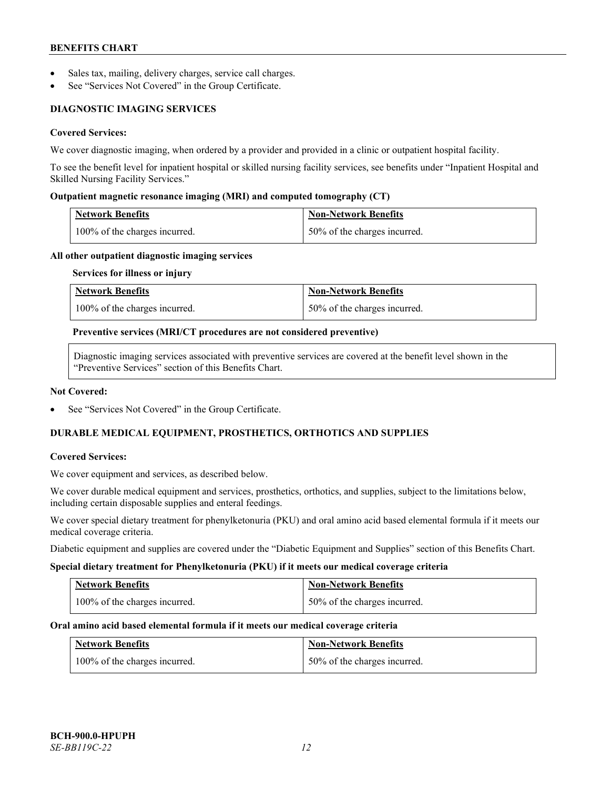- Sales tax, mailing, delivery charges, service call charges.
- See "Services Not Covered" in the Group Certificate.

# **DIAGNOSTIC IMAGING SERVICES**

# **Covered Services:**

We cover diagnostic imaging, when ordered by a provider and provided in a clinic or outpatient hospital facility.

To see the benefit level for inpatient hospital or skilled nursing facility services, see benefits under "Inpatient Hospital and Skilled Nursing Facility Services."

### **Outpatient magnetic resonance imaging (MRI) and computed tomography (CT)**

| Network Benefits                           | Non-Network Benefits         |
|--------------------------------------------|------------------------------|
| $\frac{100\%}{6}$ of the charges incurred. | 50% of the charges incurred. |

#### **All other outpatient diagnostic imaging services**

#### **Services for illness or injury**

| <b>Network Benefits</b>       | <b>Non-Network Benefits</b>  |
|-------------------------------|------------------------------|
| 100% of the charges incurred. | 50% of the charges incurred. |

#### **Preventive services (MRI/CT procedures are not considered preventive)**

Diagnostic imaging services associated with preventive services are covered at the benefit level shown in the "Preventive Services" section of this Benefits Chart.

#### **Not Covered:**

See "Services Not Covered" in the Group Certificate.

# **DURABLE MEDICAL EQUIPMENT, PROSTHETICS, ORTHOTICS AND SUPPLIES**

#### **Covered Services:**

We cover equipment and services, as described below.

We cover durable medical equipment and services, prosthetics, orthotics, and supplies, subject to the limitations below, including certain disposable supplies and enteral feedings.

We cover special dietary treatment for phenylketonuria (PKU) and oral amino acid based elemental formula if it meets our medical coverage criteria.

Diabetic equipment and supplies are covered under the "Diabetic Equipment and Supplies" section of this Benefits Chart.

#### **Special dietary treatment for Phenylketonuria (PKU) if it meets our medical coverage criteria**

| <b>Network Benefits</b>       | Non-Network Benefits           |
|-------------------------------|--------------------------------|
| 100% of the charges incurred. | 1 50% of the charges incurred. |

#### **Oral amino acid based elemental formula if it meets our medical coverage criteria**

| <b>Network Benefits</b>       | <b>Non-Network Benefits</b>  |
|-------------------------------|------------------------------|
| 100% of the charges incurred. | 50% of the charges incurred. |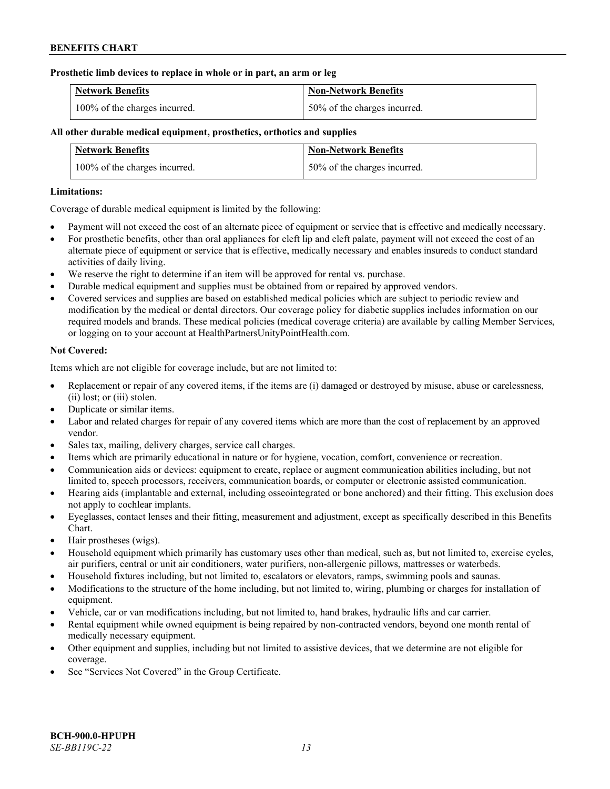### **Prosthetic limb devices to replace in whole or in part, an arm or leg**

| <b>Network Benefits</b>       | <b>Non-Network Benefits</b>  |
|-------------------------------|------------------------------|
| 100% of the charges incurred. | 50% of the charges incurred. |

# **All other durable medical equipment, prosthetics, orthotics and supplies**

| <b>Network Benefits</b>       | <b>Non-Network Benefits</b>  |
|-------------------------------|------------------------------|
| 100% of the charges incurred. | 50% of the charges incurred. |

### **Limitations:**

Coverage of durable medical equipment is limited by the following:

- Payment will not exceed the cost of an alternate piece of equipment or service that is effective and medically necessary.
- For prosthetic benefits, other than oral appliances for cleft lip and cleft palate, payment will not exceed the cost of an alternate piece of equipment or service that is effective, medically necessary and enables insureds to conduct standard activities of daily living.
- We reserve the right to determine if an item will be approved for rental vs. purchase.
- Durable medical equipment and supplies must be obtained from or repaired by approved vendors.
- Covered services and supplies are based on established medical policies which are subject to periodic review and modification by the medical or dental directors. Our coverage policy for diabetic supplies includes information on our required models and brands. These medical policies (medical coverage criteria) are available by calling Member Services, or logging on to your account at [HealthPartnersUnityPointHealth.com.](https://www.healthpartnersunitypointhealth.com/)

# **Not Covered:**

Items which are not eligible for coverage include, but are not limited to:

- Replacement or repair of any covered items, if the items are (i) damaged or destroyed by misuse, abuse or carelessness, (ii) lost; or (iii) stolen.
- Duplicate or similar items.
- Labor and related charges for repair of any covered items which are more than the cost of replacement by an approved vendor.
- Sales tax, mailing, delivery charges, service call charges.
- Items which are primarily educational in nature or for hygiene, vocation, comfort, convenience or recreation.
- Communication aids or devices: equipment to create, replace or augment communication abilities including, but not limited to, speech processors, receivers, communication boards, or computer or electronic assisted communication.
- Hearing aids (implantable and external, including osseointegrated or bone anchored) and their fitting. This exclusion does not apply to cochlear implants.
- Eyeglasses, contact lenses and their fitting, measurement and adjustment, except as specifically described in this Benefits Chart.
- Hair prostheses (wigs).
- Household equipment which primarily has customary uses other than medical, such as, but not limited to, exercise cycles, air purifiers, central or unit air conditioners, water purifiers, non-allergenic pillows, mattresses or waterbeds.
- Household fixtures including, but not limited to, escalators or elevators, ramps, swimming pools and saunas.
- Modifications to the structure of the home including, but not limited to, wiring, plumbing or charges for installation of equipment.
- Vehicle, car or van modifications including, but not limited to, hand brakes, hydraulic lifts and car carrier.
- Rental equipment while owned equipment is being repaired by non-contracted vendors, beyond one month rental of medically necessary equipment.
- Other equipment and supplies, including but not limited to assistive devices, that we determine are not eligible for coverage.
- See "Services Not Covered" in the Group Certificate.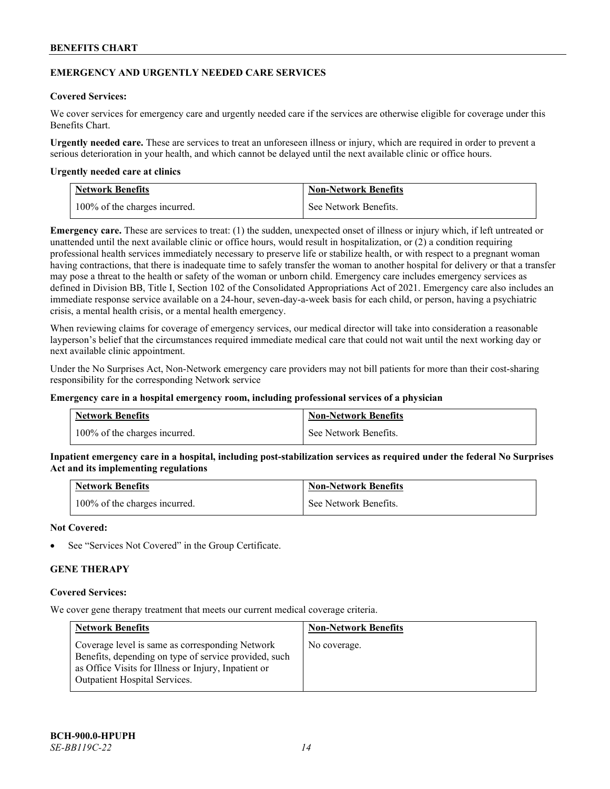### **EMERGENCY AND URGENTLY NEEDED CARE SERVICES**

### **Covered Services:**

We cover services for emergency care and urgently needed care if the services are otherwise eligible for coverage under this Benefits Chart.

**Urgently needed care.** These are services to treat an unforeseen illness or injury, which are required in order to prevent a serious deterioration in your health, and which cannot be delayed until the next available clinic or office hours.

#### **Urgently needed care at clinics**

| <b>Network Benefits</b>       | <b>Non-Network Benefits</b> |
|-------------------------------|-----------------------------|
| 100% of the charges incurred. | See Network Benefits.       |

**Emergency care.** These are services to treat: (1) the sudden, unexpected onset of illness or injury which, if left untreated or unattended until the next available clinic or office hours, would result in hospitalization, or (2) a condition requiring professional health services immediately necessary to preserve life or stabilize health, or with respect to a pregnant woman having contractions, that there is inadequate time to safely transfer the woman to another hospital for delivery or that a transfer may pose a threat to the health or safety of the woman or unborn child. Emergency care includes emergency services as defined in Division BB, Title I, Section 102 of the Consolidated Appropriations Act of 2021. Emergency care also includes an immediate response service available on a 24-hour, seven-day-a-week basis for each child, or person, having a psychiatric crisis, a mental health crisis, or a mental health emergency.

When reviewing claims for coverage of emergency services, our medical director will take into consideration a reasonable layperson's belief that the circumstances required immediate medical care that could not wait until the next working day or next available clinic appointment.

Under the No Surprises Act, Non-Network emergency care providers may not bill patients for more than their cost-sharing responsibility for the corresponding Network service

#### **Emergency care in a hospital emergency room, including professional services of a physician**

| <b>Network Benefits</b>       | <b>Non-Network Benefits</b> |
|-------------------------------|-----------------------------|
| 100% of the charges incurred. | See Network Benefits.       |

**Inpatient emergency care in a hospital, including post-stabilization services as required under the federal No Surprises Act and its implementing regulations**

| <b>Network Benefits</b>       | <b>Non-Network Benefits</b> |
|-------------------------------|-----------------------------|
| 100% of the charges incurred. | See Network Benefits.       |

### **Not Covered:**

See "Services Not Covered" in the Group Certificate.

# **GENE THERAPY**

#### **Covered Services:**

We cover gene therapy treatment that meets our current medical coverage criteria.

| <b>Network Benefits</b>                                                                                                                                                                                  | <b>Non-Network Benefits</b> |
|----------------------------------------------------------------------------------------------------------------------------------------------------------------------------------------------------------|-----------------------------|
| Coverage level is same as corresponding Network<br>Benefits, depending on type of service provided, such<br>as Office Visits for Illness or Injury, Inpatient or<br><b>Outpatient Hospital Services.</b> | No coverage.                |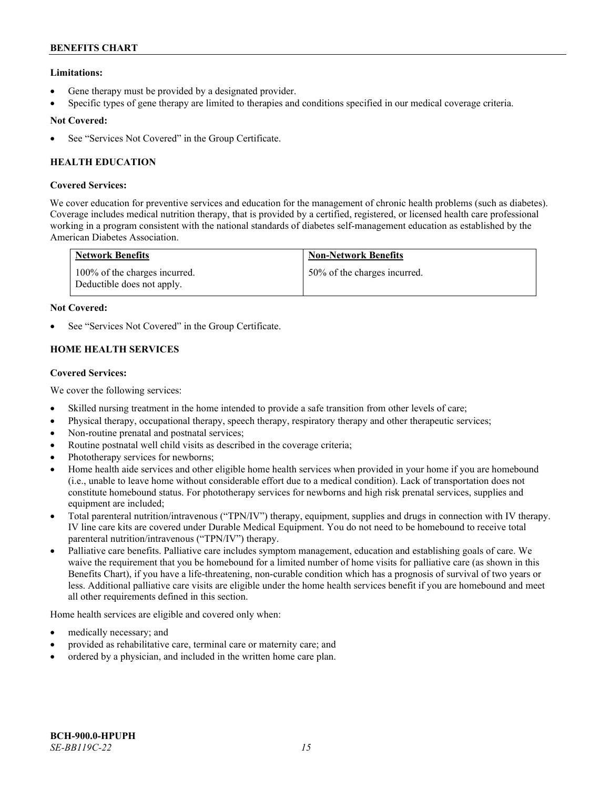# **Limitations:**

- Gene therapy must be provided by a designated provider.
- Specific types of gene therapy are limited to therapies and conditions specified in our medical coverage criteria.

# **Not Covered:**

See "Services Not Covered" in the Group Certificate.

# **HEALTH EDUCATION**

# **Covered Services:**

We cover education for preventive services and education for the management of chronic health problems (such as diabetes). Coverage includes medical nutrition therapy, that is provided by a certified, registered, or licensed health care professional working in a program consistent with the national standards of diabetes self-management education as established by the American Diabetes Association.

| <b>Network Benefits</b>                                     | <b>Non-Network Benefits</b>  |
|-------------------------------------------------------------|------------------------------|
| 100% of the charges incurred.<br>Deductible does not apply. | 50% of the charges incurred. |

# **Not Covered:**

See "Services Not Covered" in the Group Certificate.

# **HOME HEALTH SERVICES**

# **Covered Services:**

We cover the following services:

- Skilled nursing treatment in the home intended to provide a safe transition from other levels of care;
- Physical therapy, occupational therapy, speech therapy, respiratory therapy and other therapeutic services;
- Non-routine prenatal and postnatal services;
- Routine postnatal well child visits as described in the coverage criteria;
- Phototherapy services for newborns;
- Home health aide services and other eligible home health services when provided in your home if you are homebound (i.e., unable to leave home without considerable effort due to a medical condition). Lack of transportation does not constitute homebound status. For phototherapy services for newborns and high risk prenatal services, supplies and equipment are included;
- Total parenteral nutrition/intravenous ("TPN/IV") therapy, equipment, supplies and drugs in connection with IV therapy. IV line care kits are covered under Durable Medical Equipment. You do not need to be homebound to receive total parenteral nutrition/intravenous ("TPN/IV") therapy.
- Palliative care benefits. Palliative care includes symptom management, education and establishing goals of care. We waive the requirement that you be homebound for a limited number of home visits for palliative care (as shown in this Benefits Chart), if you have a life-threatening, non-curable condition which has a prognosis of survival of two years or less. Additional palliative care visits are eligible under the home health services benefit if you are homebound and meet all other requirements defined in this section.

Home health services are eligible and covered only when:

- medically necessary; and
- provided as rehabilitative care, terminal care or maternity care; and
- ordered by a physician, and included in the written home care plan.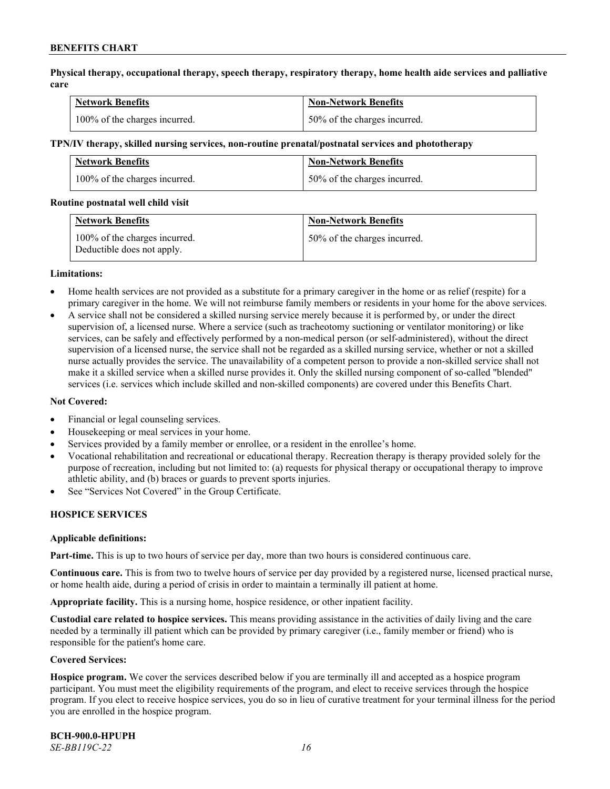**Physical therapy, occupational therapy, speech therapy, respiratory therapy, home health aide services and palliative care**

| <b>Network Benefits</b>       | <b>Non-Network Benefits</b>      |
|-------------------------------|----------------------------------|
| 100% of the charges incurred. | $150\%$ of the charges incurred. |

#### **TPN/IV therapy, skilled nursing services, non-routine prenatal/postnatal services and phototherapy**

| Network Benefits              | <b>Non-Network Benefits</b>  |
|-------------------------------|------------------------------|
| 100% of the charges incurred. | 50% of the charges incurred. |

#### **Routine postnatal well child visit**

| <b>Network Benefits</b>                                     | <b>Non-Network Benefits</b>  |
|-------------------------------------------------------------|------------------------------|
| 100% of the charges incurred.<br>Deductible does not apply. | 50% of the charges incurred. |

#### **Limitations:**

- Home health services are not provided as a substitute for a primary caregiver in the home or as relief (respite) for a primary caregiver in the home. We will not reimburse family members or residents in your home for the above services.
- A service shall not be considered a skilled nursing service merely because it is performed by, or under the direct supervision of, a licensed nurse. Where a service (such as tracheotomy suctioning or ventilator monitoring) or like services, can be safely and effectively performed by a non-medical person (or self-administered), without the direct supervision of a licensed nurse, the service shall not be regarded as a skilled nursing service, whether or not a skilled nurse actually provides the service. The unavailability of a competent person to provide a non-skilled service shall not make it a skilled service when a skilled nurse provides it. Only the skilled nursing component of so-called "blended" services (i.e. services which include skilled and non-skilled components) are covered under this Benefits Chart.

#### **Not Covered:**

- Financial or legal counseling services.
- Housekeeping or meal services in your home.
- Services provided by a family member or enrollee, or a resident in the enrollee's home.
- Vocational rehabilitation and recreational or educational therapy. Recreation therapy is therapy provided solely for the purpose of recreation, including but not limited to: (a) requests for physical therapy or occupational therapy to improve athletic ability, and (b) braces or guards to prevent sports injuries.
- See "Services Not Covered" in the Group Certificate.

# **HOSPICE SERVICES**

#### **Applicable definitions:**

**Part-time.** This is up to two hours of service per day, more than two hours is considered continuous care.

**Continuous care.** This is from two to twelve hours of service per day provided by a registered nurse, licensed practical nurse, or home health aide, during a period of crisis in order to maintain a terminally ill patient at home.

**Appropriate facility.** This is a nursing home, hospice residence, or other inpatient facility.

**Custodial care related to hospice services.** This means providing assistance in the activities of daily living and the care needed by a terminally ill patient which can be provided by primary caregiver (i.e., family member or friend) who is responsible for the patient's home care.

#### **Covered Services:**

**Hospice program.** We cover the services described below if you are terminally ill and accepted as a hospice program participant. You must meet the eligibility requirements of the program, and elect to receive services through the hospice program. If you elect to receive hospice services, you do so in lieu of curative treatment for your terminal illness for the period you are enrolled in the hospice program.

**BCH-900.0-HPUPH** *SE-BB119C-22 16*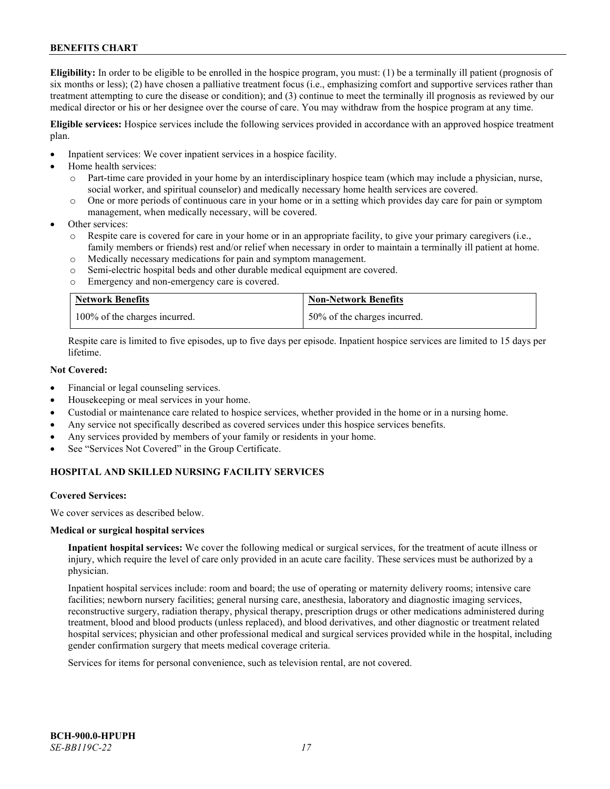**Eligibility:** In order to be eligible to be enrolled in the hospice program, you must: (1) be a terminally ill patient (prognosis of six months or less); (2) have chosen a palliative treatment focus (i.e., emphasizing comfort and supportive services rather than treatment attempting to cure the disease or condition); and (3) continue to meet the terminally ill prognosis as reviewed by our medical director or his or her designee over the course of care. You may withdraw from the hospice program at any time.

**Eligible services:** Hospice services include the following services provided in accordance with an approved hospice treatment plan.

- Inpatient services: We cover inpatient services in a hospice facility.
- Home health services:
	- o Part-time care provided in your home by an interdisciplinary hospice team (which may include a physician, nurse, social worker, and spiritual counselor) and medically necessary home health services are covered.
	- o One or more periods of continuous care in your home or in a setting which provides day care for pain or symptom management, when medically necessary, will be covered.
- Other services:
	- Respite care is covered for care in your home or in an appropriate facility, to give your primary caregivers (i.e., family members or friends) rest and/or relief when necessary in order to maintain a terminally ill patient at home.
	- o Medically necessary medications for pain and symptom management.
	- o Semi-electric hospital beds and other durable medical equipment are covered.
	- o Emergency and non-emergency care is covered.

| <b>Network Benefits</b>       | <b>Non-Network Benefits</b>  |
|-------------------------------|------------------------------|
| 100% of the charges incurred. | 50% of the charges incurred. |

Respite care is limited to five episodes, up to five days per episode. Inpatient hospice services are limited to 15 days per lifetime.

# **Not Covered:**

- Financial or legal counseling services.
- Housekeeping or meal services in your home.
- Custodial or maintenance care related to hospice services, whether provided in the home or in a nursing home.
- Any service not specifically described as covered services under this hospice services benefits.
- Any services provided by members of your family or residents in your home.
- See "Services Not Covered" in the Group Certificate.

# **HOSPITAL AND SKILLED NURSING FACILITY SERVICES**

#### **Covered Services:**

We cover services as described below.

#### **Medical or surgical hospital services**

**Inpatient hospital services:** We cover the following medical or surgical services, for the treatment of acute illness or injury, which require the level of care only provided in an acute care facility. These services must be authorized by a physician.

Inpatient hospital services include: room and board; the use of operating or maternity delivery rooms; intensive care facilities; newborn nursery facilities; general nursing care, anesthesia, laboratory and diagnostic imaging services, reconstructive surgery, radiation therapy, physical therapy, prescription drugs or other medications administered during treatment, blood and blood products (unless replaced), and blood derivatives, and other diagnostic or treatment related hospital services; physician and other professional medical and surgical services provided while in the hospital, including gender confirmation surgery that meets medical coverage criteria.

Services for items for personal convenience, such as television rental, are not covered.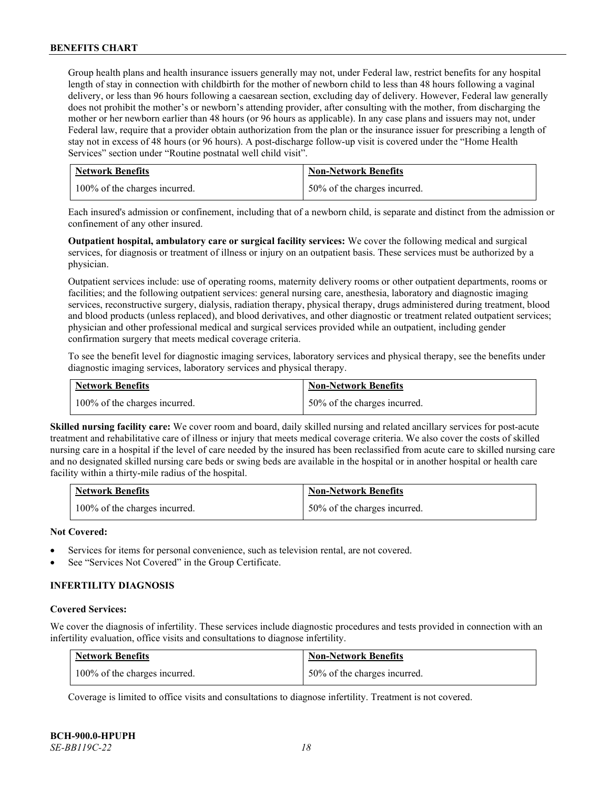Group health plans and health insurance issuers generally may not, under Federal law, restrict benefits for any hospital length of stay in connection with childbirth for the mother of newborn child to less than 48 hours following a vaginal delivery, or less than 96 hours following a caesarean section, excluding day of delivery. However, Federal law generally does not prohibit the mother's or newborn's attending provider, after consulting with the mother, from discharging the mother or her newborn earlier than 48 hours (or 96 hours as applicable). In any case plans and issuers may not, under Federal law, require that a provider obtain authorization from the plan or the insurance issuer for prescribing a length of stay not in excess of 48 hours (or 96 hours). A post-discharge follow-up visit is covered under the "Home Health Services" section under "Routine postnatal well child visit".

| <b>Network Benefits</b>       | <b>Non-Network Benefits</b>  |
|-------------------------------|------------------------------|
| 100% of the charges incurred. | 50% of the charges incurred. |

Each insured's admission or confinement, including that of a newborn child, is separate and distinct from the admission or confinement of any other insured.

**Outpatient hospital, ambulatory care or surgical facility services:** We cover the following medical and surgical services, for diagnosis or treatment of illness or injury on an outpatient basis. These services must be authorized by a physician.

Outpatient services include: use of operating rooms, maternity delivery rooms or other outpatient departments, rooms or facilities; and the following outpatient services: general nursing care, anesthesia, laboratory and diagnostic imaging services, reconstructive surgery, dialysis, radiation therapy, physical therapy, drugs administered during treatment, blood and blood products (unless replaced), and blood derivatives, and other diagnostic or treatment related outpatient services; physician and other professional medical and surgical services provided while an outpatient, including gender confirmation surgery that meets medical coverage criteria.

To see the benefit level for diagnostic imaging services, laboratory services and physical therapy, see the benefits under diagnostic imaging services, laboratory services and physical therapy.

| <b>Network Benefits</b>       | <b>Non-Network Benefits</b>  |
|-------------------------------|------------------------------|
| 100% of the charges incurred. | 50% of the charges incurred. |

**Skilled nursing facility care:** We cover room and board, daily skilled nursing and related ancillary services for post-acute treatment and rehabilitative care of illness or injury that meets medical coverage criteria. We also cover the costs of skilled nursing care in a hospital if the level of care needed by the insured has been reclassified from acute care to skilled nursing care and no designated skilled nursing care beds or swing beds are available in the hospital or in another hospital or health care facility within a thirty-mile radius of the hospital.

| <b>Network Benefits</b>       | <b>Non-Network Benefits</b>  |
|-------------------------------|------------------------------|
| 100% of the charges incurred. | 50% of the charges incurred. |

#### **Not Covered:**

- Services for items for personal convenience, such as television rental, are not covered.
- See "Services Not Covered" in the Group Certificate.

# **INFERTILITY DIAGNOSIS**

#### **Covered Services:**

We cover the diagnosis of infertility. These services include diagnostic procedures and tests provided in connection with an infertility evaluation, office visits and consultations to diagnose infertility.

| <b>Network Benefits</b>       | <b>Non-Network Benefits</b>  |
|-------------------------------|------------------------------|
| 100% of the charges incurred. | 50% of the charges incurred. |

Coverage is limited to office visits and consultations to diagnose infertility. Treatment is not covered.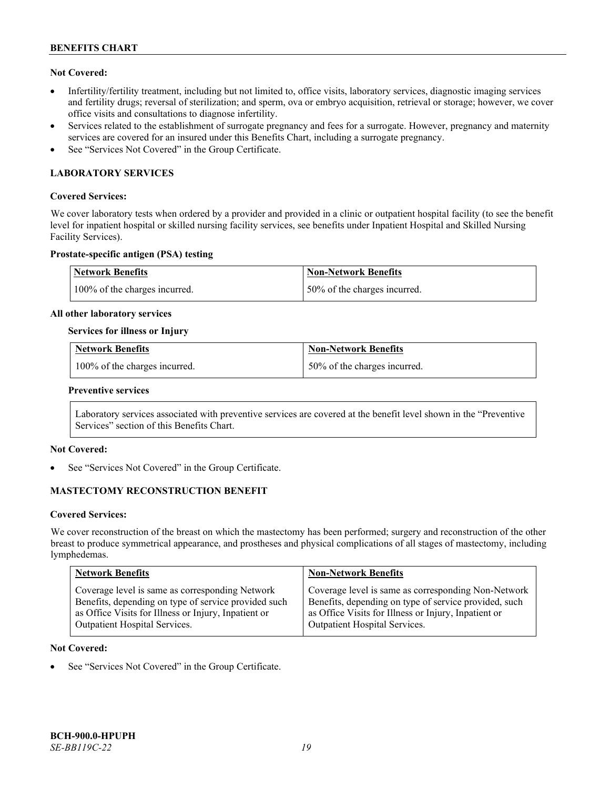# **Not Covered:**

- Infertility/fertility treatment, including but not limited to, office visits, laboratory services, diagnostic imaging services and fertility drugs; reversal of sterilization; and sperm, ova or embryo acquisition, retrieval or storage; however, we cover office visits and consultations to diagnose infertility.
- Services related to the establishment of surrogate pregnancy and fees for a surrogate. However, pregnancy and maternity services are covered for an insured under this Benefits Chart, including a surrogate pregnancy.
- See "Services Not Covered" in the Group Certificate.

# **LABORATORY SERVICES**

### **Covered Services:**

We cover laboratory tests when ordered by a provider and provided in a clinic or outpatient hospital facility (to see the benefit level for inpatient hospital or skilled nursing facility services, see benefits under Inpatient Hospital and Skilled Nursing Facility Services).

#### **Prostate-specific antigen (PSA) testing**

| Network Benefits              | Non-Network Benefits          |
|-------------------------------|-------------------------------|
| 100% of the charges incurred. | 150% of the charges incurred. |

#### **All other laboratory services**

#### **Services for illness or Injury**

| <b>Network Benefits</b>       | <b>Non-Network Benefits</b>  |
|-------------------------------|------------------------------|
| 100% of the charges incurred. | 50% of the charges incurred. |

#### **Preventive services**

Laboratory services associated with preventive services are covered at the benefit level shown in the "Preventive Services" section of this Benefits Chart.

# **Not Covered:**

See "Services Not Covered" in the Group Certificate.

# **MASTECTOMY RECONSTRUCTION BENEFIT**

#### **Covered Services:**

We cover reconstruction of the breast on which the mastectomy has been performed; surgery and reconstruction of the other breast to produce symmetrical appearance, and prostheses and physical complications of all stages of mastectomy, including lymphedemas.

| <b>Network Benefits</b>                              | <b>Non-Network Benefits</b>                           |
|------------------------------------------------------|-------------------------------------------------------|
| Coverage level is same as corresponding Network      | Coverage level is same as corresponding Non-Network   |
| Benefits, depending on type of service provided such | Benefits, depending on type of service provided, such |
| as Office Visits for Illness or Injury, Inpatient or | as Office Visits for Illness or Injury, Inpatient or  |
| Outpatient Hospital Services.                        | Outpatient Hospital Services.                         |

#### **Not Covered:**

See "Services Not Covered" in the Group Certificate.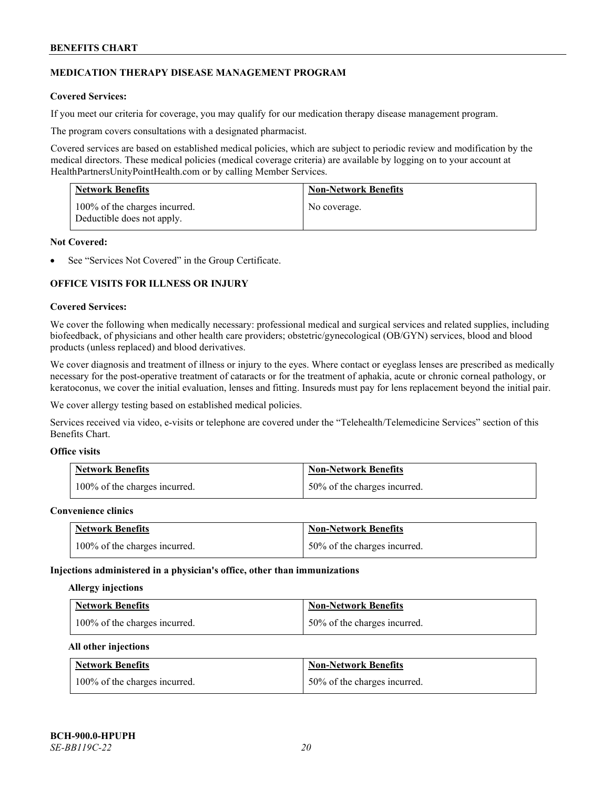# **MEDICATION THERAPY DISEASE MANAGEMENT PROGRAM**

# **Covered Services:**

If you meet our criteria for coverage, you may qualify for our medication therapy disease management program.

The program covers consultations with a designated pharmacist.

Covered services are based on established medical policies, which are subject to periodic review and modification by the medical directors. These medical policies (medical coverage criteria) are available by logging on to your account at [HealthPartnersUnityPointHealth.com](https://www.healthpartnersunitypointhealth.com/) or by calling Member Services.

| <b>Network Benefits</b>                                     | <b>Non-Network Benefits</b> |
|-------------------------------------------------------------|-----------------------------|
| 100% of the charges incurred.<br>Deductible does not apply. | No coverage.                |

### **Not Covered:**

See "Services Not Covered" in the Group Certificate.

# **OFFICE VISITS FOR ILLNESS OR INJURY**

#### **Covered Services:**

We cover the following when medically necessary: professional medical and surgical services and related supplies, including biofeedback, of physicians and other health care providers; obstetric/gynecological (OB/GYN) services, blood and blood products (unless replaced) and blood derivatives.

We cover diagnosis and treatment of illness or injury to the eyes. Where contact or eyeglass lenses are prescribed as medically necessary for the post-operative treatment of cataracts or for the treatment of aphakia, acute or chronic corneal pathology, or keratoconus, we cover the initial evaluation, lenses and fitting. Insureds must pay for lens replacement beyond the initial pair.

We cover allergy testing based on established medical policies.

Services received via video, e-visits or telephone are covered under the "Telehealth/Telemedicine Services" section of this Benefits Chart.

# **Office visits**

| <b>Network Benefits</b>       | <b>Non-Network Benefits</b>  |
|-------------------------------|------------------------------|
| 100% of the charges incurred. | 50% of the charges incurred. |

#### **Convenience clinics**

| <b>Network Benefits</b>       | <b>Non-Network Benefits</b>  |
|-------------------------------|------------------------------|
| 100% of the charges incurred. | 50% of the charges incurred. |

#### **Injections administered in a physician's office, other than immunizations**

#### **Allergy injections**

| <b>Network Benefits</b>       | <b>Non-Network Benefits</b>  |
|-------------------------------|------------------------------|
| 100% of the charges incurred. | 50% of the charges incurred. |

#### **All other injections**

| <b>Network Benefits</b>       | <b>Non-Network Benefits</b>  |
|-------------------------------|------------------------------|
| 100% of the charges incurred. | 50% of the charges incurred. |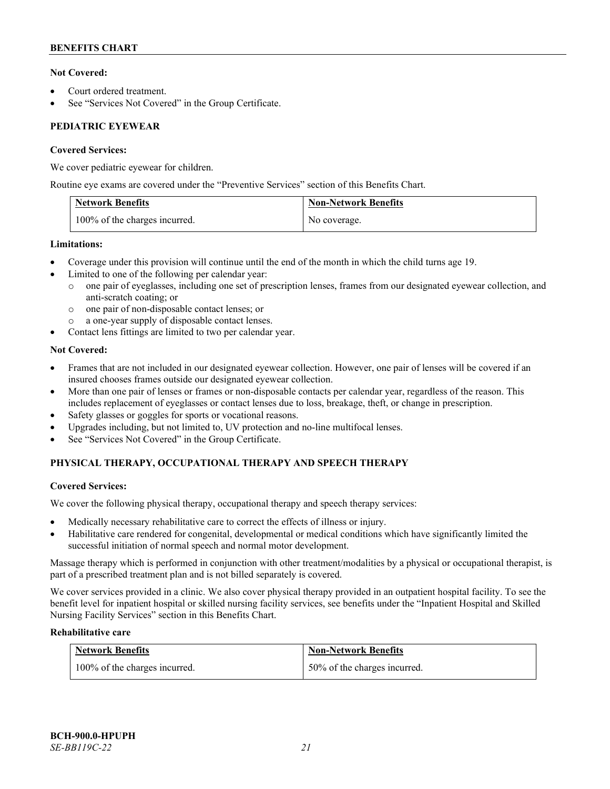# **Not Covered:**

- Court ordered treatment.
- See "Services Not Covered" in the Group Certificate.

# **PEDIATRIC EYEWEAR**

# **Covered Services:**

We cover pediatric eyewear for children.

Routine eye exams are covered under the "Preventive Services" section of this Benefits Chart.

| <b>Network Benefits</b>       | <b>Non-Network Benefits</b> |
|-------------------------------|-----------------------------|
| 100% of the charges incurred. | No coverage.                |

# **Limitations:**

- Coverage under this provision will continue until the end of the month in which the child turns age 19.
- Limited to one of the following per calendar year:
	- o one pair of eyeglasses, including one set of prescription lenses, frames from our designated eyewear collection, and anti-scratch coating; or
	- o one pair of non-disposable contact lenses; or
	- a one-year supply of disposable contact lenses.
- Contact lens fittings are limited to two per calendar year.

# **Not Covered:**

- Frames that are not included in our designated eyewear collection. However, one pair of lenses will be covered if an insured chooses frames outside our designated eyewear collection.
- More than one pair of lenses or frames or non-disposable contacts per calendar year, regardless of the reason. This includes replacement of eyeglasses or contact lenses due to loss, breakage, theft, or change in prescription.
- Safety glasses or goggles for sports or vocational reasons.
- Upgrades including, but not limited to, UV protection and no-line multifocal lenses.
- See "Services Not Covered" in the Group Certificate.

# **PHYSICAL THERAPY, OCCUPATIONAL THERAPY AND SPEECH THERAPY**

# **Covered Services:**

We cover the following physical therapy, occupational therapy and speech therapy services:

- Medically necessary rehabilitative care to correct the effects of illness or injury.
- Habilitative care rendered for congenital, developmental or medical conditions which have significantly limited the successful initiation of normal speech and normal motor development.

Massage therapy which is performed in conjunction with other treatment/modalities by a physical or occupational therapist, is part of a prescribed treatment plan and is not billed separately is covered.

We cover services provided in a clinic. We also cover physical therapy provided in an outpatient hospital facility. To see the benefit level for inpatient hospital or skilled nursing facility services, see benefits under the "Inpatient Hospital and Skilled Nursing Facility Services" section in this Benefits Chart.

# **Rehabilitative care**

| <b>Network Benefits</b>       | <b>Non-Network Benefits</b>  |
|-------------------------------|------------------------------|
| 100% of the charges incurred. | 50% of the charges incurred. |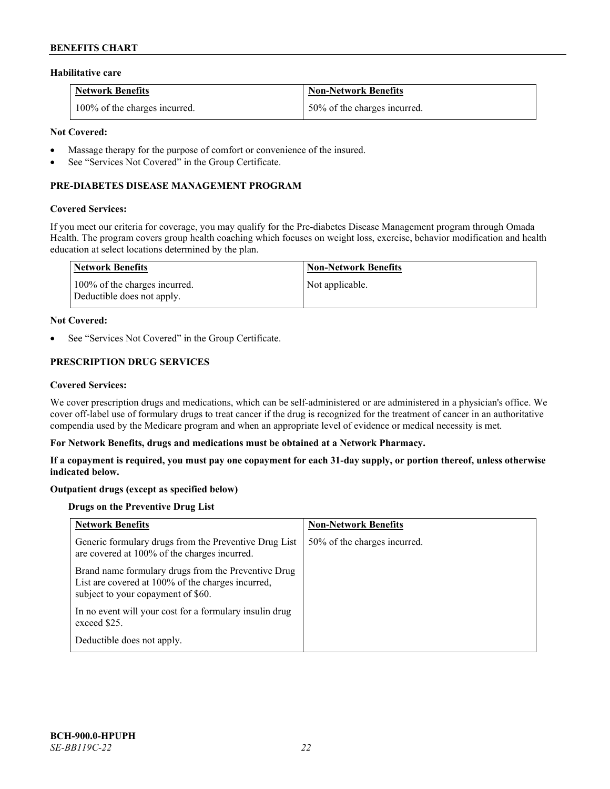#### **Habilitative care**

| <b>Network Benefits</b>       | <b>Non-Network Benefits</b>  |
|-------------------------------|------------------------------|
| 100% of the charges incurred. | 50% of the charges incurred. |

### **Not Covered:**

- Massage therapy for the purpose of comfort or convenience of the insured.
- See "Services Not Covered" in the Group Certificate.

### **PRE-DIABETES DISEASE MANAGEMENT PROGRAM**

#### **Covered Services:**

If you meet our criteria for coverage, you may qualify for the Pre-diabetes Disease Management program through Omada Health. The program covers group health coaching which focuses on weight loss, exercise, behavior modification and health education at select locations determined by the plan.

| Network Benefits                                            | <b>Non-Network Benefits</b> |
|-------------------------------------------------------------|-----------------------------|
| 100% of the charges incurred.<br>Deductible does not apply. | Not applicable.             |

#### **Not Covered:**

See "Services Not Covered" in the Group Certificate.

# **PRESCRIPTION DRUG SERVICES**

#### **Covered Services:**

We cover prescription drugs and medications, which can be self-administered or are administered in a physician's office. We cover off-label use of formulary drugs to treat cancer if the drug is recognized for the treatment of cancer in an authoritative compendia used by the Medicare program and when an appropriate level of evidence or medical necessity is met.

#### **For Network Benefits, drugs and medications must be obtained at a Network Pharmacy.**

**If a copayment is required, you must pay one copayment for each 31-day supply, or portion thereof, unless otherwise indicated below.**

# **Outpatient drugs (except as specified below)**

# **Drugs on the Preventive Drug List**

| <b>Network Benefits</b>                                                                                                                        | <b>Non-Network Benefits</b>  |
|------------------------------------------------------------------------------------------------------------------------------------------------|------------------------------|
| Generic formulary drugs from the Preventive Drug List<br>are covered at 100% of the charges incurred.                                          | 50% of the charges incurred. |
| Brand name formulary drugs from the Preventive Drug<br>List are covered at 100% of the charges incurred,<br>subject to your copayment of \$60. |                              |
| In no event will your cost for a formulary insulin drug<br>exceed \$25.                                                                        |                              |
| Deductible does not apply.                                                                                                                     |                              |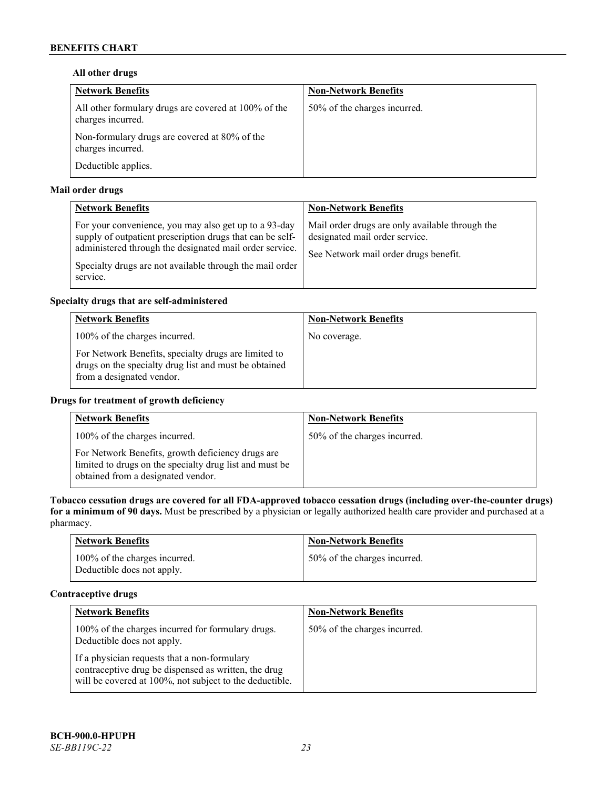# **All other drugs**

| <b>Network Benefits</b>                                                   | <b>Non-Network Benefits</b>  |
|---------------------------------------------------------------------------|------------------------------|
| All other formulary drugs are covered at 100% of the<br>charges incurred. | 50% of the charges incurred. |
| Non-formulary drugs are covered at 80% of the<br>charges incurred.        |                              |
| Deductible applies.                                                       |                              |

# **Mail order drugs**

| <b>Network Benefits</b>                                                                                                                                                                                                                               | <b>Non-Network Benefits</b>                                                                                                |
|-------------------------------------------------------------------------------------------------------------------------------------------------------------------------------------------------------------------------------------------------------|----------------------------------------------------------------------------------------------------------------------------|
| For your convenience, you may also get up to a 93-day<br>supply of outpatient prescription drugs that can be self-<br>administered through the designated mail order service.<br>Specialty drugs are not available through the mail order<br>service. | Mail order drugs are only available through the<br>designated mail order service.<br>See Network mail order drugs benefit. |

# **Specialty drugs that are self-administered**

| <b>Network Benefits</b>                                                                                                                    | <b>Non-Network Benefits</b> |
|--------------------------------------------------------------------------------------------------------------------------------------------|-----------------------------|
| 100% of the charges incurred.                                                                                                              | No coverage.                |
| For Network Benefits, specialty drugs are limited to<br>drugs on the specialty drug list and must be obtained<br>from a designated vendor. |                             |

# **Drugs for treatment of growth deficiency**

| <b>Network Benefits</b>                                                                                                                            | <b>Non-Network Benefits</b>  |
|----------------------------------------------------------------------------------------------------------------------------------------------------|------------------------------|
| 100% of the charges incurred.                                                                                                                      | 50% of the charges incurred. |
| For Network Benefits, growth deficiency drugs are<br>limited to drugs on the specialty drug list and must be<br>obtained from a designated vendor. |                              |

**Tobacco cessation drugs are covered for all FDA-approved tobacco cessation drugs (including over-the-counter drugs) for a minimum of 90 days.** Must be prescribed by a physician or legally authorized health care provider and purchased at a pharmacy.

| <b>Network Benefits</b>                                     | <b>Non-Network Benefits</b>  |
|-------------------------------------------------------------|------------------------------|
| 100% of the charges incurred.<br>Deductible does not apply. | 50% of the charges incurred. |

# **Contraceptive drugs**

| <b>Network Benefits</b>                                                                                                                                         | <b>Non-Network Benefits</b>  |
|-----------------------------------------------------------------------------------------------------------------------------------------------------------------|------------------------------|
| 100% of the charges incurred for formulary drugs.<br>Deductible does not apply.                                                                                 | 50% of the charges incurred. |
| If a physician requests that a non-formulary<br>contraceptive drug be dispensed as written, the drug<br>will be covered at 100%, not subject to the deductible. |                              |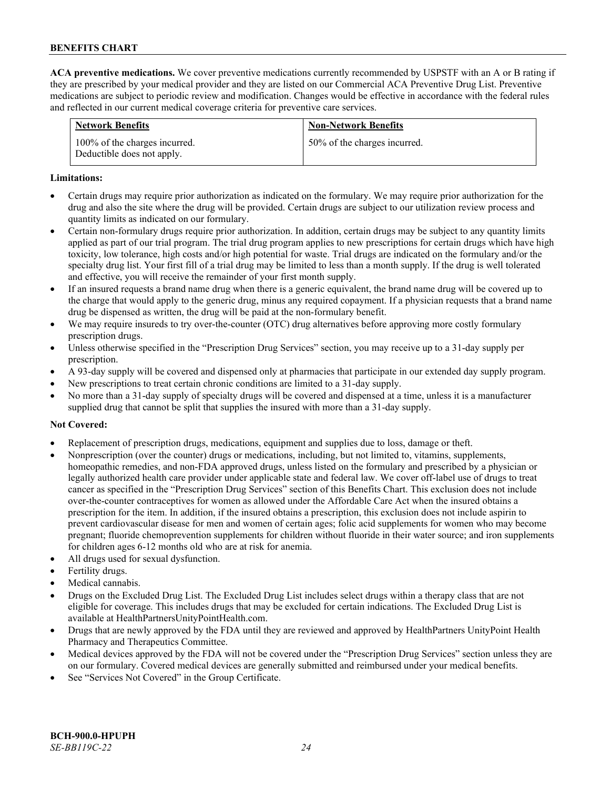**ACA preventive medications.** We cover preventive medications currently recommended by USPSTF with an A or B rating if they are prescribed by your medical provider and they are listed on our Commercial ACA Preventive Drug List. Preventive medications are subject to periodic review and modification. Changes would be effective in accordance with the federal rules and reflected in our current medical coverage criteria for preventive care services.

| <b>Network Benefits</b>                                     | <b>Non-Network Benefits</b>  |
|-------------------------------------------------------------|------------------------------|
| 100% of the charges incurred.<br>Deductible does not apply. | 50% of the charges incurred. |

#### **Limitations:**

- Certain drugs may require prior authorization as indicated on the formulary. We may require prior authorization for the drug and also the site where the drug will be provided. Certain drugs are subject to our utilization review process and quantity limits as indicated on our formulary.
- Certain non-formulary drugs require prior authorization. In addition, certain drugs may be subject to any quantity limits applied as part of our trial program. The trial drug program applies to new prescriptions for certain drugs which have high toxicity, low tolerance, high costs and/or high potential for waste. Trial drugs are indicated on the formulary and/or the specialty drug list. Your first fill of a trial drug may be limited to less than a month supply. If the drug is well tolerated and effective, you will receive the remainder of your first month supply.
- If an insured requests a brand name drug when there is a generic equivalent, the brand name drug will be covered up to the charge that would apply to the generic drug, minus any required copayment. If a physician requests that a brand name drug be dispensed as written, the drug will be paid at the non-formulary benefit.
- We may require insureds to try over-the-counter (OTC) drug alternatives before approving more costly formulary prescription drugs.
- Unless otherwise specified in the "Prescription Drug Services" section, you may receive up to a 31-day supply per prescription.
- A 93-day supply will be covered and dispensed only at pharmacies that participate in our extended day supply program.
- New prescriptions to treat certain chronic conditions are limited to a 31-day supply.
- No more than a 31-day supply of specialty drugs will be covered and dispensed at a time, unless it is a manufacturer supplied drug that cannot be split that supplies the insured with more than a 31-day supply.

# **Not Covered:**

- Replacement of prescription drugs, medications, equipment and supplies due to loss, damage or theft.
- Nonprescription (over the counter) drugs or medications, including, but not limited to, vitamins, supplements, homeopathic remedies, and non-FDA approved drugs, unless listed on the formulary and prescribed by a physician or legally authorized health care provider under applicable state and federal law. We cover off-label use of drugs to treat cancer as specified in the "Prescription Drug Services" section of this Benefits Chart. This exclusion does not include over-the-counter contraceptives for women as allowed under the Affordable Care Act when the insured obtains a prescription for the item. In addition, if the insured obtains a prescription, this exclusion does not include aspirin to prevent cardiovascular disease for men and women of certain ages; folic acid supplements for women who may become pregnant; fluoride chemoprevention supplements for children without fluoride in their water source; and iron supplements for children ages 6-12 months old who are at risk for anemia.
- All drugs used for sexual dysfunction.
- Fertility drugs.
- Medical cannabis.
- Drugs on the Excluded Drug List. The Excluded Drug List includes select drugs within a therapy class that are not eligible for coverage. This includes drugs that may be excluded for certain indications. The Excluded Drug List is available a[t HealthPartnersUnityPointHealth.com.](https://www.healthpartnersunitypointhealth.com/)
- Drugs that are newly approved by the FDA until they are reviewed and approved by HealthPartners UnityPoint Health Pharmacy and Therapeutics Committee.
- Medical devices approved by the FDA will not be covered under the "Prescription Drug Services" section unless they are on our formulary. Covered medical devices are generally submitted and reimbursed under your medical benefits.
- See "Services Not Covered" in the Group Certificate.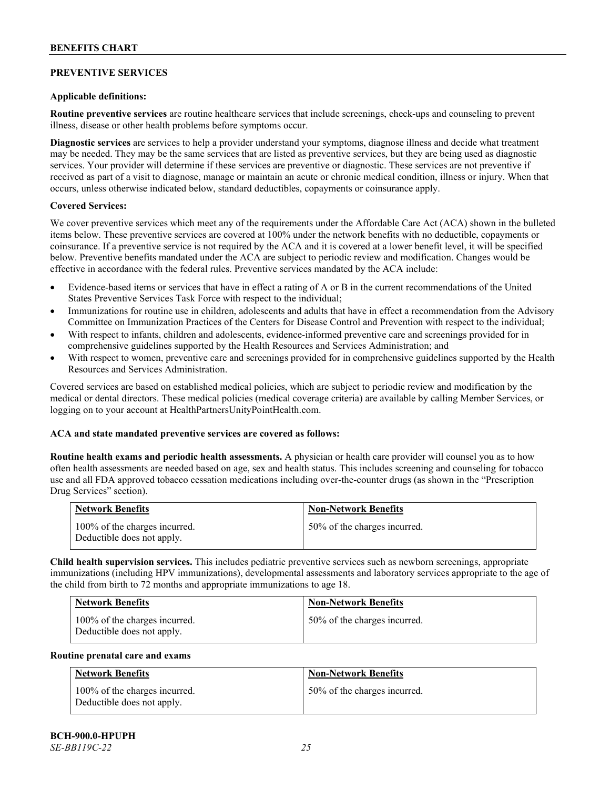# **PREVENTIVE SERVICES**

### **Applicable definitions:**

**Routine preventive services** are routine healthcare services that include screenings, check-ups and counseling to prevent illness, disease or other health problems before symptoms occur.

**Diagnostic services** are services to help a provider understand your symptoms, diagnose illness and decide what treatment may be needed. They may be the same services that are listed as preventive services, but they are being used as diagnostic services. Your provider will determine if these services are preventive or diagnostic. These services are not preventive if received as part of a visit to diagnose, manage or maintain an acute or chronic medical condition, illness or injury. When that occurs, unless otherwise indicated below, standard deductibles, copayments or coinsurance apply.

# **Covered Services:**

We cover preventive services which meet any of the requirements under the Affordable Care Act (ACA) shown in the bulleted items below. These preventive services are covered at 100% under the network benefits with no deductible, copayments or coinsurance. If a preventive service is not required by the ACA and it is covered at a lower benefit level, it will be specified below. Preventive benefits mandated under the ACA are subject to periodic review and modification. Changes would be effective in accordance with the federal rules. Preventive services mandated by the ACA include:

- Evidence-based items or services that have in effect a rating of A or B in the current recommendations of the United States Preventive Services Task Force with respect to the individual;
- Immunizations for routine use in children, adolescents and adults that have in effect a recommendation from the Advisory Committee on Immunization Practices of the Centers for Disease Control and Prevention with respect to the individual;
- With respect to infants, children and adolescents, evidence-informed preventive care and screenings provided for in comprehensive guidelines supported by the Health Resources and Services Administration; and
- With respect to women, preventive care and screenings provided for in comprehensive guidelines supported by the Health Resources and Services Administration.

Covered services are based on established medical policies, which are subject to periodic review and modification by the medical or dental directors. These medical policies (medical coverage criteria) are available by calling Member Services, or logging on to your account at [HealthPartnersUnityPointHealth.com.](https://www.healthpartnersunitypointhealth.com/)

# **ACA and state mandated preventive services are covered as follows:**

**Routine health exams and periodic health assessments.** A physician or health care provider will counsel you as to how often health assessments are needed based on age, sex and health status. This includes screening and counseling for tobacco use and all FDA approved tobacco cessation medications including over-the-counter drugs (as shown in the "Prescription Drug Services" section).

| <b>Network Benefits</b>                                     | <b>Non-Network Benefits</b>  |
|-------------------------------------------------------------|------------------------------|
| 100% of the charges incurred.<br>Deductible does not apply. | 50% of the charges incurred. |

**Child health supervision services.** This includes pediatric preventive services such as newborn screenings, appropriate immunizations (including HPV immunizations), developmental assessments and laboratory services appropriate to the age of the child from birth to 72 months and appropriate immunizations to age 18.

| <b>Network Benefits</b>                                     | <b>Non-Network Benefits</b>  |
|-------------------------------------------------------------|------------------------------|
| 100% of the charges incurred.<br>Deductible does not apply. | 50% of the charges incurred. |

#### **Routine prenatal care and exams**

| <b>Network Benefits</b>                                     | <b>Non-Network Benefits</b>  |
|-------------------------------------------------------------|------------------------------|
| 100% of the charges incurred.<br>Deductible does not apply. | 50% of the charges incurred. |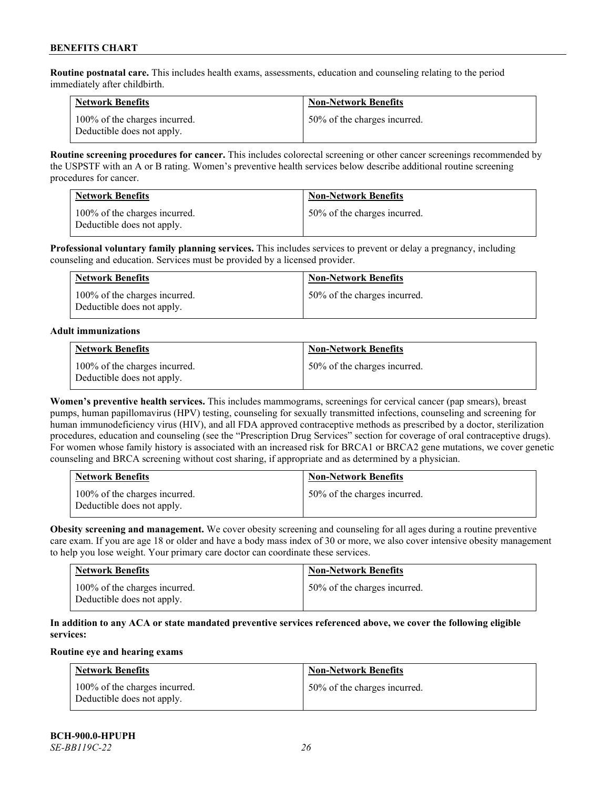**Routine postnatal care.** This includes health exams, assessments, education and counseling relating to the period immediately after childbirth.

| <b>Network Benefits</b>                                     | <b>Non-Network Benefits</b>  |
|-------------------------------------------------------------|------------------------------|
| 100% of the charges incurred.<br>Deductible does not apply. | 50% of the charges incurred. |

**Routine screening procedures for cancer.** This includes colorectal screening or other cancer screenings recommended by the USPSTF with an A or B rating. Women's preventive health services below describe additional routine screening procedures for cancer.

| <b>Network Benefits</b>                                     | <b>Non-Network Benefits</b>  |
|-------------------------------------------------------------|------------------------------|
| 100% of the charges incurred.<br>Deductible does not apply. | 50% of the charges incurred. |

**Professional voluntary family planning services.** This includes services to prevent or delay a pregnancy, including counseling and education. Services must be provided by a licensed provider.

| <b>Network Benefits</b>                                     | <b>Non-Network Benefits</b>  |
|-------------------------------------------------------------|------------------------------|
| 100% of the charges incurred.<br>Deductible does not apply. | 50% of the charges incurred. |

#### **Adult immunizations**

| <b>Network Benefits</b>                                     | <b>Non-Network Benefits</b>  |
|-------------------------------------------------------------|------------------------------|
| 100% of the charges incurred.<br>Deductible does not apply. | 50% of the charges incurred. |

**Women's preventive health services.** This includes mammograms, screenings for cervical cancer (pap smears), breast pumps, human papillomavirus (HPV) testing, counseling for sexually transmitted infections, counseling and screening for human immunodeficiency virus (HIV), and all FDA approved contraceptive methods as prescribed by a doctor, sterilization procedures, education and counseling (see the "Prescription Drug Services" section for coverage of oral contraceptive drugs). For women whose family history is associated with an increased risk for BRCA1 or BRCA2 gene mutations, we cover genetic counseling and BRCA screening without cost sharing, if appropriate and as determined by a physician.

| <b>Network Benefits</b>                                     | <b>Non-Network Benefits</b>  |
|-------------------------------------------------------------|------------------------------|
| 100% of the charges incurred.<br>Deductible does not apply. | 50% of the charges incurred. |

**Obesity screening and management.** We cover obesity screening and counseling for all ages during a routine preventive care exam. If you are age 18 or older and have a body mass index of 30 or more, we also cover intensive obesity management to help you lose weight. Your primary care doctor can coordinate these services.

| <b>Network Benefits</b>                                     | <b>Non-Network Benefits</b>  |
|-------------------------------------------------------------|------------------------------|
| 100% of the charges incurred.<br>Deductible does not apply. | 50% of the charges incurred. |

# **In addition to any ACA or state mandated preventive services referenced above, we cover the following eligible services:**

# **Routine eye and hearing exams**

| <b>Network Benefits</b>                                     | <b>Non-Network Benefits</b>  |
|-------------------------------------------------------------|------------------------------|
| 100% of the charges incurred.<br>Deductible does not apply. | 50% of the charges incurred. |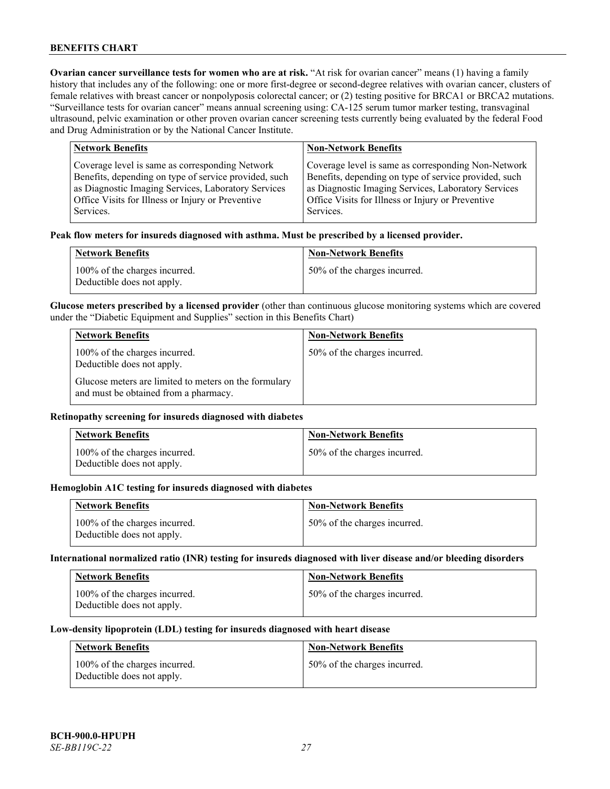**Ovarian cancer surveillance tests for women who are at risk. "At risk for ovarian cancer" means (1) having a family** history that includes any of the following: one or more first-degree or second-degree relatives with ovarian cancer, clusters of female relatives with breast cancer or nonpolyposis colorectal cancer; or (2) testing positive for BRCA1 or BRCA2 mutations. "Surveillance tests for ovarian cancer" means annual screening using: CA-125 serum tumor marker testing, transvaginal ultrasound, pelvic examination or other proven ovarian cancer screening tests currently being evaluated by the federal Food and Drug Administration or by the National Cancer Institute.

| <b>Network Benefits</b>                               | <b>Non-Network Benefits</b>                           |
|-------------------------------------------------------|-------------------------------------------------------|
| Coverage level is same as corresponding Network       | Coverage level is same as corresponding Non-Network   |
| Benefits, depending on type of service provided, such | Benefits, depending on type of service provided, such |
| as Diagnostic Imaging Services, Laboratory Services   | as Diagnostic Imaging Services, Laboratory Services   |
| Office Visits for Illness or Injury or Preventive     | Office Visits for Illness or Injury or Preventive     |
| Services.                                             | Services.                                             |

#### **Peak flow meters for insureds diagnosed with asthma. Must be prescribed by a licensed provider.**

| <b>Network Benefits</b>                                     | <b>Non-Network Benefits</b>  |
|-------------------------------------------------------------|------------------------------|
| 100% of the charges incurred.<br>Deductible does not apply. | 50% of the charges incurred. |

**Glucose meters prescribed by a licensed provider** (other than continuous glucose monitoring systems which are covered under the "Diabetic Equipment and Supplies" section in this Benefits Chart)

| <b>Network Benefits</b>                                                                        | <b>Non-Network Benefits</b>  |
|------------------------------------------------------------------------------------------------|------------------------------|
| 100% of the charges incurred.<br>Deductible does not apply.                                    | 50% of the charges incurred. |
| Glucose meters are limited to meters on the formulary<br>and must be obtained from a pharmacy. |                              |

### **Retinopathy screening for insureds diagnosed with diabetes**

| <b>Network Benefits</b>                                     | <b>Non-Network Benefits</b>  |
|-------------------------------------------------------------|------------------------------|
| 100% of the charges incurred.<br>Deductible does not apply. | 50% of the charges incurred. |

#### **Hemoglobin A1C testing for insureds diagnosed with diabetes**

| <b>Network Benefits</b>                                     | <b>Non-Network Benefits</b>  |
|-------------------------------------------------------------|------------------------------|
| 100% of the charges incurred.<br>Deductible does not apply. | 50% of the charges incurred. |

# **International normalized ratio (INR) testing for insureds diagnosed with liver disease and/or bleeding disorders**

| <b>Network Benefits</b>                                     | <b>Non-Network Benefits</b>  |
|-------------------------------------------------------------|------------------------------|
| 100% of the charges incurred.<br>Deductible does not apply. | 50% of the charges incurred. |

#### **Low-density lipoprotein (LDL) testing for insureds diagnosed with heart disease**

| <b>Network Benefits</b>                                     | <b>Non-Network Benefits</b>  |
|-------------------------------------------------------------|------------------------------|
| 100% of the charges incurred.<br>Deductible does not apply. | 50% of the charges incurred. |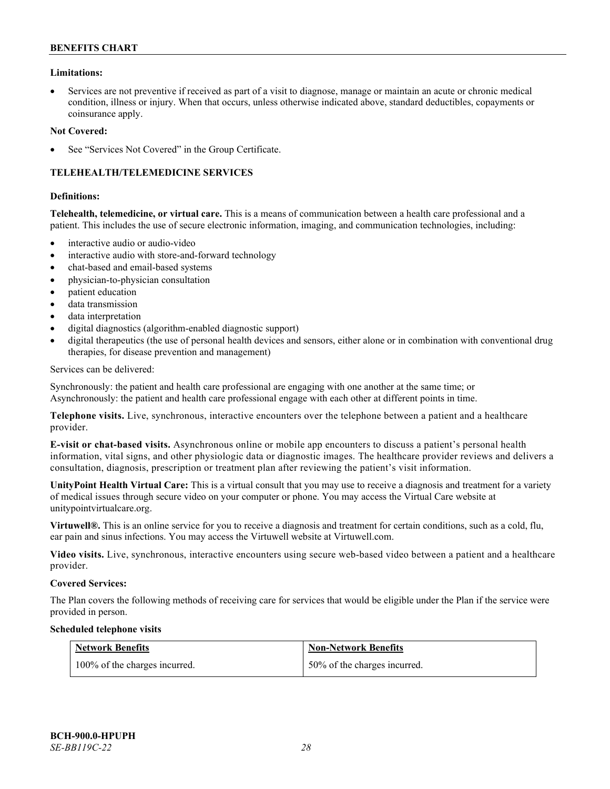### **Limitations:**

• Services are not preventive if received as part of a visit to diagnose, manage or maintain an acute or chronic medical condition, illness or injury. When that occurs, unless otherwise indicated above, standard deductibles, copayments or coinsurance apply.

#### **Not Covered:**

See "Services Not Covered" in the Group Certificate.

# **TELEHEALTH/TELEMEDICINE SERVICES**

#### **Definitions:**

**Telehealth, telemedicine, or virtual care.** This is a means of communication between a health care professional and a patient. This includes the use of secure electronic information, imaging, and communication technologies, including:

- interactive audio or audio-video
- interactive audio with store-and-forward technology
- chat-based and email-based systems
- physician-to-physician consultation
- patient education
- data transmission
- data interpretation
- digital diagnostics (algorithm-enabled diagnostic support)
- digital therapeutics (the use of personal health devices and sensors, either alone or in combination with conventional drug therapies, for disease prevention and management)

#### Services can be delivered:

Synchronously: the patient and health care professional are engaging with one another at the same time; or Asynchronously: the patient and health care professional engage with each other at different points in time.

**Telephone visits.** Live, synchronous, interactive encounters over the telephone between a patient and a healthcare provider.

**E-visit or chat-based visits.** Asynchronous online or mobile app encounters to discuss a patient's personal health information, vital signs, and other physiologic data or diagnostic images. The healthcare provider reviews and delivers a consultation, diagnosis, prescription or treatment plan after reviewing the patient's visit information.

**UnityPoint Health Virtual Care:** This is a virtual consult that you may use to receive a diagnosis and treatment for a variety of medical issues through secure video on your computer or phone. You may access the Virtual Care website at [unitypointvirtualcare.org.](https://unitypointvirtualcare.org/landing.htm)

**Virtuwell®.** This is an online service for you to receive a diagnosis and treatment for certain conditions, such as a cold, flu, ear pain and sinus infections. You may access the Virtuwell website at [Virtuwell.com.](https://www.virtuwell.com/)

**Video visits.** Live, synchronous, interactive encounters using secure web-based video between a patient and a healthcare provider.

#### **Covered Services:**

The Plan covers the following methods of receiving care for services that would be eligible under the Plan if the service were provided in person.

#### **Scheduled telephone visits**

| <b>Network Benefits</b>       | <b>Non-Network Benefits</b>  |
|-------------------------------|------------------------------|
| 100% of the charges incurred. | 50% of the charges incurred. |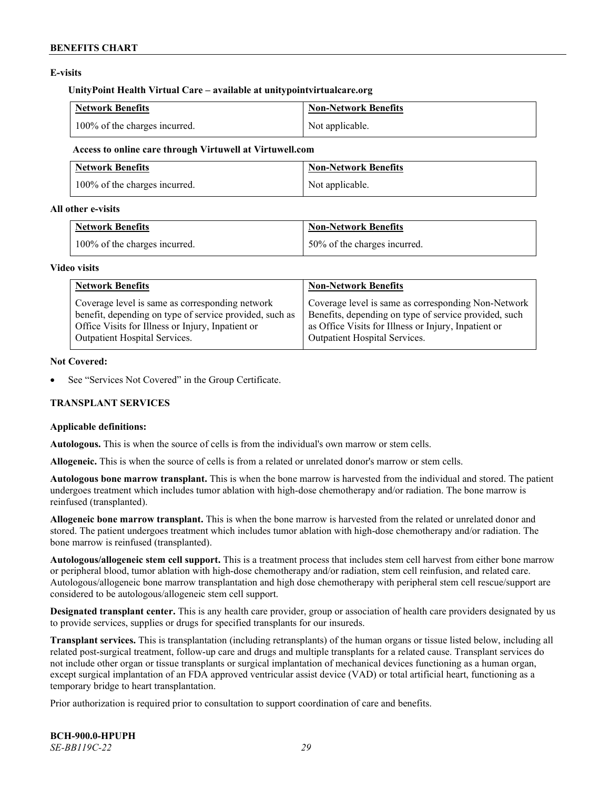# **E-visits**

#### **UnityPoint Health Virtual Care – available at [unitypointvirtualcare.org](http://www.unitypointvirtualcare.org/)**

| <b>Network Benefits</b>       | Non-Network Benefits |
|-------------------------------|----------------------|
| 100% of the charges incurred. | Not applicable.      |

#### **Access to online care through Virtuwell at [Virtuwell.com](http://www.virtuwell.com/)**

| <b>Network Benefits</b>       | Non-Network Benefits |
|-------------------------------|----------------------|
| 100% of the charges incurred. | Not applicable.      |

### **All other e-visits**

| <b>Network Benefits</b>       | Non-Network Benefits         |
|-------------------------------|------------------------------|
| 100% of the charges incurred. | 50% of the charges incurred. |

#### **Video visits**

| <b>Network Benefits</b>                                 | <b>Non-Network Benefits</b>                           |
|---------------------------------------------------------|-------------------------------------------------------|
| Coverage level is same as corresponding network         | Coverage level is same as corresponding Non-Network   |
| benefit, depending on type of service provided, such as | Benefits, depending on type of service provided, such |
| Office Visits for Illness or Injury, Inpatient or       | as Office Visits for Illness or Injury, Inpatient or  |
| Outpatient Hospital Services.                           | Outpatient Hospital Services.                         |

### **Not Covered:**

See "Services Not Covered" in the Group Certificate.

# **TRANSPLANT SERVICES**

# **Applicable definitions:**

**Autologous.** This is when the source of cells is from the individual's own marrow or stem cells.

**Allogeneic.** This is when the source of cells is from a related or unrelated donor's marrow or stem cells.

**Autologous bone marrow transplant.** This is when the bone marrow is harvested from the individual and stored. The patient undergoes treatment which includes tumor ablation with high-dose chemotherapy and/or radiation. The bone marrow is reinfused (transplanted).

**Allogeneic bone marrow transplant.** This is when the bone marrow is harvested from the related or unrelated donor and stored. The patient undergoes treatment which includes tumor ablation with high-dose chemotherapy and/or radiation. The bone marrow is reinfused (transplanted).

**Autologous/allogeneic stem cell support.** This is a treatment process that includes stem cell harvest from either bone marrow or peripheral blood, tumor ablation with high-dose chemotherapy and/or radiation, stem cell reinfusion, and related care. Autologous/allogeneic bone marrow transplantation and high dose chemotherapy with peripheral stem cell rescue/support are considered to be autologous/allogeneic stem cell support.

**Designated transplant center.** This is any health care provider, group or association of health care providers designated by us to provide services, supplies or drugs for specified transplants for our insureds.

**Transplant services.** This is transplantation (including retransplants) of the human organs or tissue listed below, including all related post-surgical treatment, follow-up care and drugs and multiple transplants for a related cause. Transplant services do not include other organ or tissue transplants or surgical implantation of mechanical devices functioning as a human organ, except surgical implantation of an FDA approved ventricular assist device (VAD) or total artificial heart, functioning as a temporary bridge to heart transplantation.

Prior authorization is required prior to consultation to support coordination of care and benefits.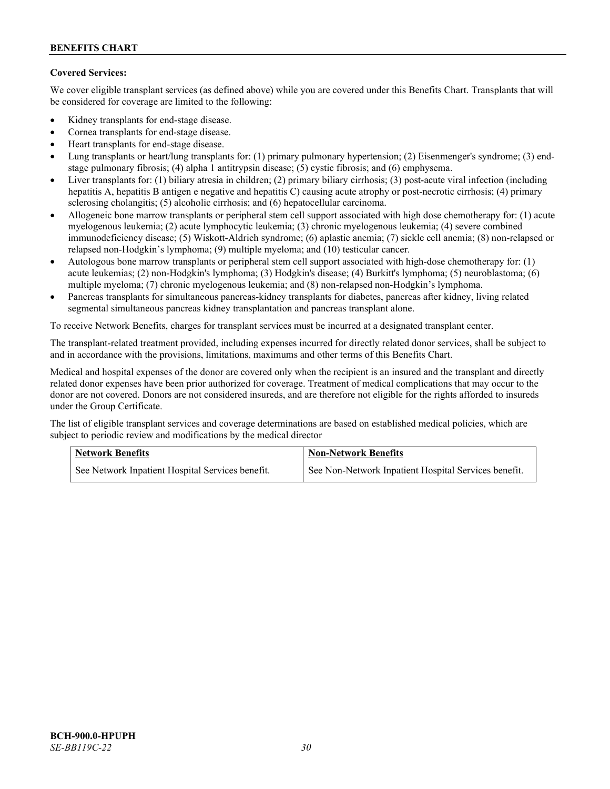# **Covered Services:**

We cover eligible transplant services (as defined above) while you are covered under this Benefits Chart. Transplants that will be considered for coverage are limited to the following:

- Kidney transplants for end-stage disease.
- Cornea transplants for end-stage disease.
- Heart transplants for end-stage disease.
- Lung transplants or heart/lung transplants for: (1) primary pulmonary hypertension; (2) Eisenmenger's syndrome; (3) endstage pulmonary fibrosis; (4) alpha 1 antitrypsin disease; (5) cystic fibrosis; and (6) emphysema.
- Liver transplants for: (1) biliary atresia in children; (2) primary biliary cirrhosis; (3) post-acute viral infection (including hepatitis A, hepatitis B antigen e negative and hepatitis C) causing acute atrophy or post-necrotic cirrhosis; (4) primary sclerosing cholangitis; (5) alcoholic cirrhosis; and (6) hepatocellular carcinoma.
- Allogeneic bone marrow transplants or peripheral stem cell support associated with high dose chemotherapy for: (1) acute myelogenous leukemia; (2) acute lymphocytic leukemia; (3) chronic myelogenous leukemia; (4) severe combined immunodeficiency disease; (5) Wiskott-Aldrich syndrome; (6) aplastic anemia; (7) sickle cell anemia; (8) non-relapsed or relapsed non-Hodgkin's lymphoma; (9) multiple myeloma; and (10) testicular cancer.
- Autologous bone marrow transplants or peripheral stem cell support associated with high-dose chemotherapy for: (1) acute leukemias; (2) non-Hodgkin's lymphoma; (3) Hodgkin's disease; (4) Burkitt's lymphoma; (5) neuroblastoma; (6) multiple myeloma; (7) chronic myelogenous leukemia; and (8) non-relapsed non-Hodgkin's lymphoma.
- Pancreas transplants for simultaneous pancreas-kidney transplants for diabetes, pancreas after kidney, living related segmental simultaneous pancreas kidney transplantation and pancreas transplant alone.

To receive Network Benefits, charges for transplant services must be incurred at a designated transplant center.

The transplant-related treatment provided, including expenses incurred for directly related donor services, shall be subject to and in accordance with the provisions, limitations, maximums and other terms of this Benefits Chart.

Medical and hospital expenses of the donor are covered only when the recipient is an insured and the transplant and directly related donor expenses have been prior authorized for coverage. Treatment of medical complications that may occur to the donor are not covered. Donors are not considered insureds, and are therefore not eligible for the rights afforded to insureds under the Group Certificate.

The list of eligible transplant services and coverage determinations are based on established medical policies, which are subject to periodic review and modifications by the medical director

| <b>Network Benefits</b>                          | <b>Non-Network Benefits</b>                          |  |
|--------------------------------------------------|------------------------------------------------------|--|
| See Network Inpatient Hospital Services benefit. | See Non-Network Inpatient Hospital Services benefit. |  |